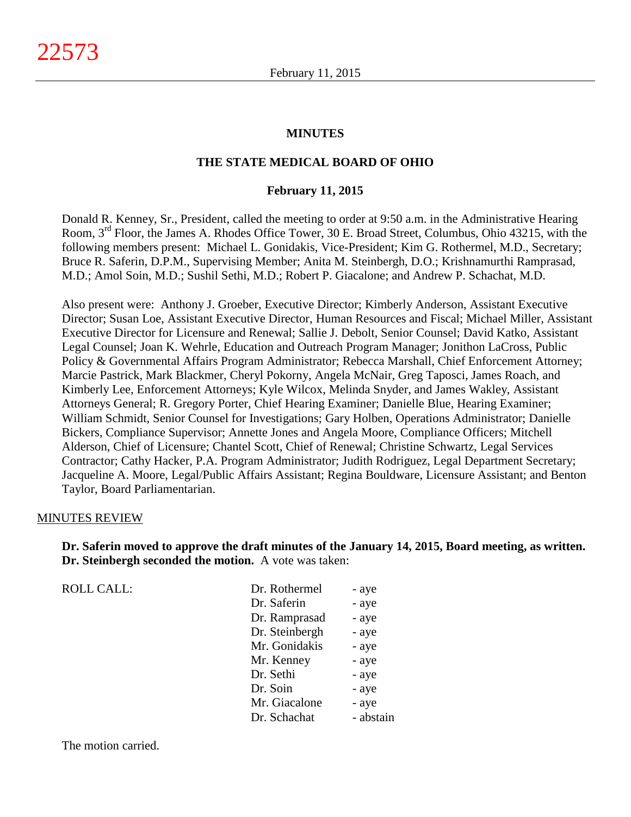#### **MINUTES**

### **THE STATE MEDICAL BOARD OF OHIO**

#### **February 11, 2015**

Donald R. Kenney, Sr., President, called the meeting to order at 9:50 a.m. in the Administrative Hearing Room, 3rd Floor, the James A. Rhodes Office Tower, 30 E. Broad Street, Columbus, Ohio 43215, with the following members present: Michael L. Gonidakis, Vice-President; Kim G. Rothermel, M.D., Secretary; Bruce R. Saferin, D.P.M., Supervising Member; Anita M. Steinbergh, D.O.; Krishnamurthi Ramprasad, M.D.; Amol Soin, M.D.; Sushil Sethi, M.D.; Robert P. Giacalone; and Andrew P. Schachat, M.D.

Also present were: Anthony J. Groeber, Executive Director; Kimberly Anderson, Assistant Executive Director; Susan Loe, Assistant Executive Director, Human Resources and Fiscal; Michael Miller, Assistant Executive Director for Licensure and Renewal; Sallie J. Debolt, Senior Counsel; David Katko, Assistant Legal Counsel; Joan K. Wehrle, Education and Outreach Program Manager; Jonithon LaCross, Public Policy & Governmental Affairs Program Administrator; Rebecca Marshall, Chief Enforcement Attorney; Marcie Pastrick, Mark Blackmer, Cheryl Pokorny, Angela McNair, Greg Taposci, James Roach, and Kimberly Lee, Enforcement Attorneys; Kyle Wilcox, Melinda Snyder, and James Wakley, Assistant Attorneys General; R. Gregory Porter, Chief Hearing Examiner; Danielle Blue, Hearing Examiner; William Schmidt, Senior Counsel for Investigations; Gary Holben, Operations Administrator; Danielle Bickers, Compliance Supervisor; Annette Jones and Angela Moore, Compliance Officers; Mitchell Alderson, Chief of Licensure; Chantel Scott, Chief of Renewal; Christine Schwartz, Legal Services Contractor; Cathy Hacker, P.A. Program Administrator; Judith Rodriguez, Legal Department Secretary; Jacqueline A. Moore, Legal/Public Affairs Assistant; Regina Bouldware, Licensure Assistant; and Benton Taylor, Board Parliamentarian.

#### MINUTES REVIEW

**Dr. Saferin moved to approve the draft minutes of the January 14, 2015, Board meeting, as written. Dr. Steinbergh seconded the motion.** A vote was taken:

| <b>ROLL CALL:</b> | Dr. Rothermel  | - aye     |
|-------------------|----------------|-----------|
|                   | Dr. Saferin    | - aye     |
|                   | Dr. Ramprasad  | - aye     |
|                   | Dr. Steinbergh | - aye     |
|                   | Mr. Gonidakis  | - aye     |
|                   | Mr. Kenney     | - aye     |
|                   | Dr. Sethi      | - aye     |
|                   | Dr. Soin       | - aye     |
|                   | Mr. Giacalone  | - aye     |
|                   | Dr. Schachat   | - abstain |
|                   |                |           |

The motion carried.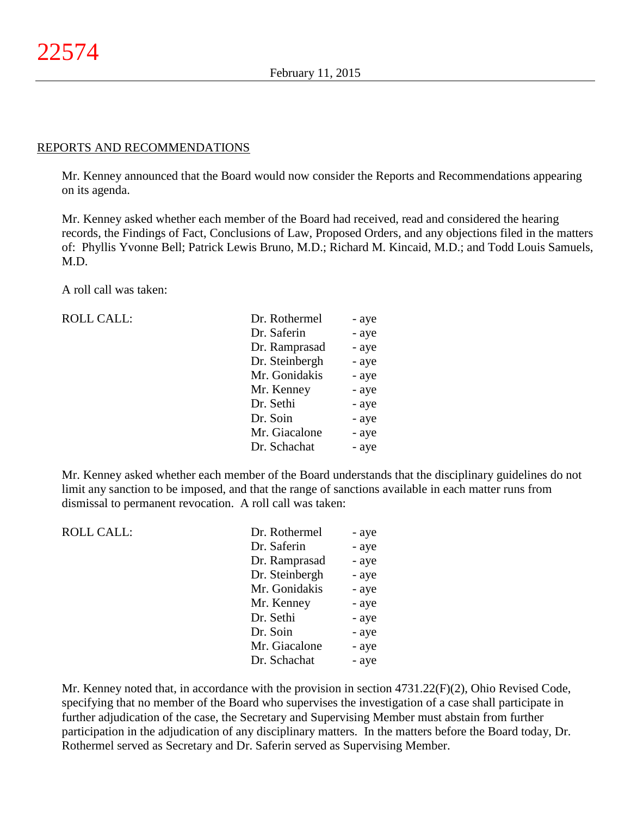#### REPORTS AND RECOMMENDATIONS

Mr. Kenney announced that the Board would now consider the Reports and Recommendations appearing on its agenda.

Mr. Kenney asked whether each member of the Board had received, read and considered the hearing records, the Findings of Fact, Conclusions of Law, Proposed Orders, and any objections filed in the matters of: Phyllis Yvonne Bell; Patrick Lewis Bruno, M.D.; Richard M. Kincaid, M.D.; and Todd Louis Samuels, M.D.

A roll call was taken:

ROLL CALL:

| Dr. Rothermel  | - aye |
|----------------|-------|
| Dr. Saferin    | - aye |
| Dr. Ramprasad  | - aye |
| Dr. Steinbergh | - aye |
| Mr. Gonidakis  | - aye |
| Mr. Kenney     | - aye |
| Dr. Sethi      | - aye |
| Dr. Soin       | - aye |
| Mr. Giacalone  | - aye |
| Dr. Schachat   | - aye |

Mr. Kenney asked whether each member of the Board understands that the disciplinary guidelines do not limit any sanction to be imposed, and that the range of sanctions available in each matter runs from dismissal to permanent revocation. A roll call was taken:

| <b>ROLL CALL:</b> | Dr. Rothermel  | - aye |
|-------------------|----------------|-------|
|                   | Dr. Saferin    | - aye |
|                   | Dr. Ramprasad  | - aye |
|                   | Dr. Steinbergh | - aye |
|                   | Mr. Gonidakis  | - aye |
|                   | Mr. Kenney     | - aye |
|                   | Dr. Sethi      | - aye |
|                   | Dr. Soin       | - aye |
|                   | Mr. Giacalone  | - aye |
|                   | Dr. Schachat   | - aye |
|                   |                |       |

Mr. Kenney noted that, in accordance with the provision in section 4731.22(F)(2), Ohio Revised Code, specifying that no member of the Board who supervises the investigation of a case shall participate in further adjudication of the case, the Secretary and Supervising Member must abstain from further participation in the adjudication of any disciplinary matters. In the matters before the Board today, Dr. Rothermel served as Secretary and Dr. Saferin served as Supervising Member.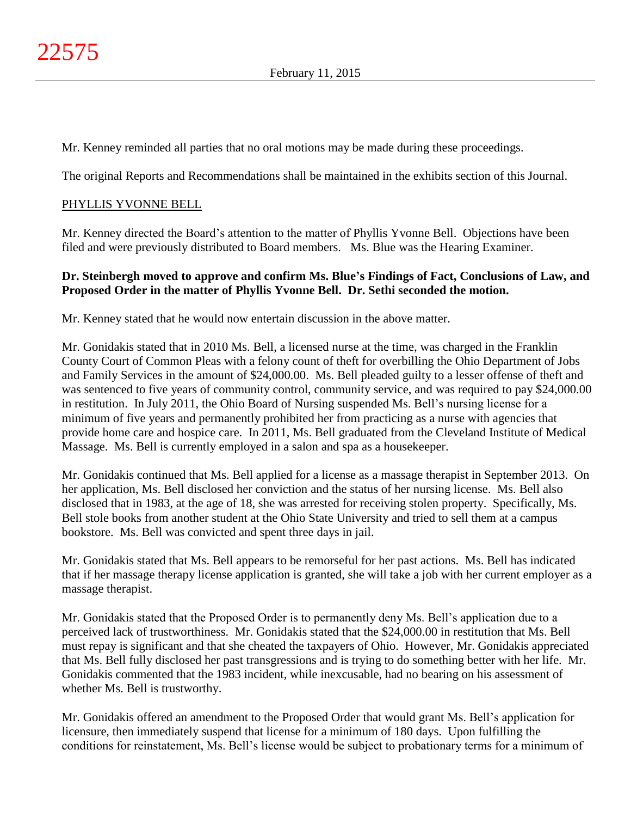Mr. Kenney reminded all parties that no oral motions may be made during these proceedings.

The original Reports and Recommendations shall be maintained in the exhibits section of this Journal.

## PHYLLIS YVONNE BELL

Mr. Kenney directed the Board's attention to the matter of Phyllis Yvonne Bell. Objections have been filed and were previously distributed to Board members. Ms. Blue was the Hearing Examiner.

## **Dr. Steinbergh moved to approve and confirm Ms. Blue's Findings of Fact, Conclusions of Law, and Proposed Order in the matter of Phyllis Yvonne Bell. Dr. Sethi seconded the motion.**

Mr. Kenney stated that he would now entertain discussion in the above matter.

Mr. Gonidakis stated that in 2010 Ms. Bell, a licensed nurse at the time, was charged in the Franklin County Court of Common Pleas with a felony count of theft for overbilling the Ohio Department of Jobs and Family Services in the amount of \$24,000.00. Ms. Bell pleaded guilty to a lesser offense of theft and was sentenced to five years of community control, community service, and was required to pay \$24,000.00 in restitution. In July 2011, the Ohio Board of Nursing suspended Ms. Bell's nursing license for a minimum of five years and permanently prohibited her from practicing as a nurse with agencies that provide home care and hospice care. In 2011, Ms. Bell graduated from the Cleveland Institute of Medical Massage. Ms. Bell is currently employed in a salon and spa as a housekeeper.

Mr. Gonidakis continued that Ms. Bell applied for a license as a massage therapist in September 2013. On her application, Ms. Bell disclosed her conviction and the status of her nursing license. Ms. Bell also disclosed that in 1983, at the age of 18, she was arrested for receiving stolen property. Specifically, Ms. Bell stole books from another student at the Ohio State University and tried to sell them at a campus bookstore. Ms. Bell was convicted and spent three days in jail.

Mr. Gonidakis stated that Ms. Bell appears to be remorseful for her past actions. Ms. Bell has indicated that if her massage therapy license application is granted, she will take a job with her current employer as a massage therapist.

Mr. Gonidakis stated that the Proposed Order is to permanently deny Ms. Bell's application due to a perceived lack of trustworthiness. Mr. Gonidakis stated that the \$24,000.00 in restitution that Ms. Bell must repay is significant and that she cheated the taxpayers of Ohio. However, Mr. Gonidakis appreciated that Ms. Bell fully disclosed her past transgressions and is trying to do something better with her life. Mr. Gonidakis commented that the 1983 incident, while inexcusable, had no bearing on his assessment of whether Ms. Bell is trustworthy.

Mr. Gonidakis offered an amendment to the Proposed Order that would grant Ms. Bell's application for licensure, then immediately suspend that license for a minimum of 180 days. Upon fulfilling the conditions for reinstatement, Ms. Bell's license would be subject to probationary terms for a minimum of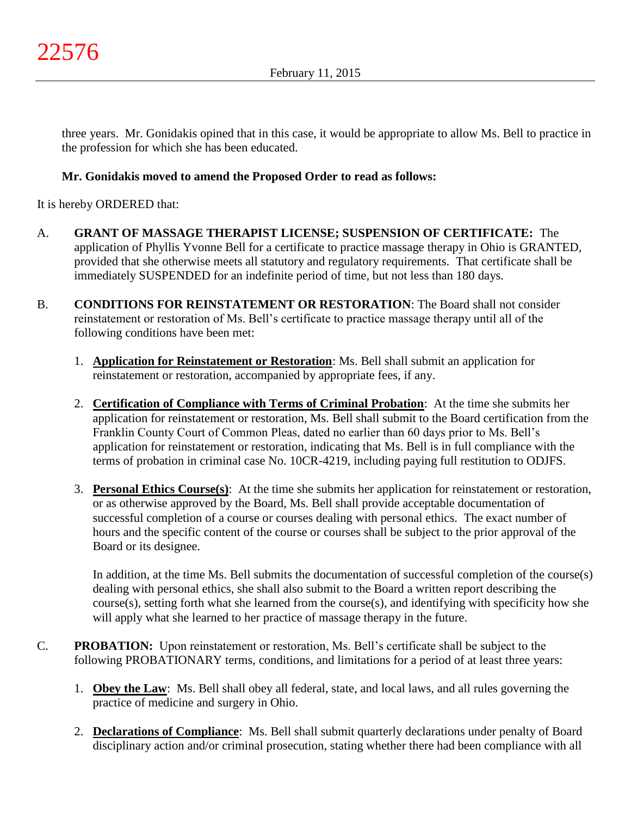three years. Mr. Gonidakis opined that in this case, it would be appropriate to allow Ms. Bell to practice in the profession for which she has been educated.

# **Mr. Gonidakis moved to amend the Proposed Order to read as follows:**

It is hereby ORDERED that:

- A. **GRANT OF MASSAGE THERAPIST LICENSE; SUSPENSION OF CERTIFICATE:** The application of Phyllis Yvonne Bell for a certificate to practice massage therapy in Ohio is GRANTED, provided that she otherwise meets all statutory and regulatory requirements. That certificate shall be immediately SUSPENDED for an indefinite period of time, but not less than 180 days.
- B. **CONDITIONS FOR REINSTATEMENT OR RESTORATION**: The Board shall not consider reinstatement or restoration of Ms. Bell's certificate to practice massage therapy until all of the following conditions have been met:
	- 1. **Application for Reinstatement or Restoration**: Ms. Bell shall submit an application for reinstatement or restoration, accompanied by appropriate fees, if any.
	- 2. **Certification of Compliance with Terms of Criminal Probation**: At the time she submits her application for reinstatement or restoration, Ms. Bell shall submit to the Board certification from the Franklin County Court of Common Pleas, dated no earlier than 60 days prior to Ms. Bell's application for reinstatement or restoration, indicating that Ms. Bell is in full compliance with the terms of probation in criminal case No. 10CR-4219, including paying full restitution to ODJFS.
	- 3. **Personal Ethics Course(s)**: At the time she submits her application for reinstatement or restoration, or as otherwise approved by the Board, Ms. Bell shall provide acceptable documentation of successful completion of a course or courses dealing with personal ethics. The exact number of hours and the specific content of the course or courses shall be subject to the prior approval of the Board or its designee.

In addition, at the time Ms. Bell submits the documentation of successful completion of the course(s) dealing with personal ethics, she shall also submit to the Board a written report describing the course(s), setting forth what she learned from the course(s), and identifying with specificity how she will apply what she learned to her practice of massage therapy in the future.

- C. **PROBATION:** Upon reinstatement or restoration, Ms. Bell's certificate shall be subject to the following PROBATIONARY terms, conditions, and limitations for a period of at least three years:
	- 1. **Obey the Law**: Ms. Bell shall obey all federal, state, and local laws, and all rules governing the practice of medicine and surgery in Ohio.
	- 2. **Declarations of Compliance**: Ms. Bell shall submit quarterly declarations under penalty of Board disciplinary action and/or criminal prosecution, stating whether there had been compliance with all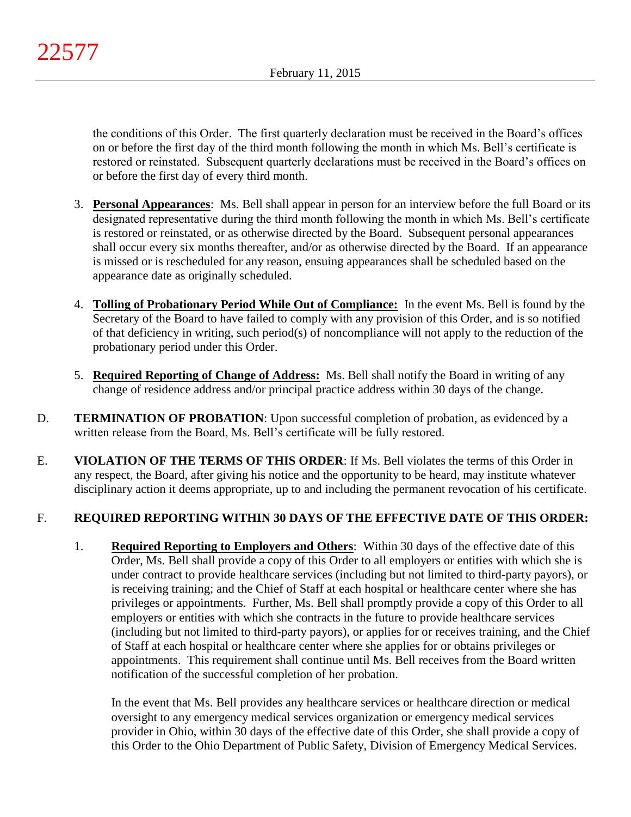the conditions of this Order. The first quarterly declaration must be received in the Board's offices on or before the first day of the third month following the month in which Ms. Bell's certificate is restored or reinstated. Subsequent quarterly declarations must be received in the Board's offices on or before the first day of every third month.

- 3. **Personal Appearances**: Ms. Bell shall appear in person for an interview before the full Board or its designated representative during the third month following the month in which Ms. Bell's certificate is restored or reinstated, or as otherwise directed by the Board. Subsequent personal appearances shall occur every six months thereafter, and/or as otherwise directed by the Board. If an appearance is missed or is rescheduled for any reason, ensuing appearances shall be scheduled based on the appearance date as originally scheduled.
- 4. **Tolling of Probationary Period While Out of Compliance:** In the event Ms. Bell is found by the Secretary of the Board to have failed to comply with any provision of this Order, and is so notified of that deficiency in writing, such period(s) of noncompliance will not apply to the reduction of the probationary period under this Order.
- 5. **Required Reporting of Change of Address:** Ms. Bell shall notify the Board in writing of any change of residence address and/or principal practice address within 30 days of the change.
- D. **TERMINATION OF PROBATION**: Upon successful completion of probation, as evidenced by a written release from the Board, Ms. Bell's certificate will be fully restored.
- E. **VIOLATION OF THE TERMS OF THIS ORDER**: If Ms. Bell violates the terms of this Order in any respect, the Board, after giving his notice and the opportunity to be heard, may institute whatever disciplinary action it deems appropriate, up to and including the permanent revocation of his certificate.

# F. **REQUIRED REPORTING WITHIN 30 DAYS OF THE EFFECTIVE DATE OF THIS ORDER:**

1. **Required Reporting to Employers and Others**: Within 30 days of the effective date of this Order, Ms. Bell shall provide a copy of this Order to all employers or entities with which she is under contract to provide healthcare services (including but not limited to third-party payors), or is receiving training; and the Chief of Staff at each hospital or healthcare center where she has privileges or appointments. Further, Ms. Bell shall promptly provide a copy of this Order to all employers or entities with which she contracts in the future to provide healthcare services (including but not limited to third-party payors), or applies for or receives training, and the Chief of Staff at each hospital or healthcare center where she applies for or obtains privileges or appointments. This requirement shall continue until Ms. Bell receives from the Board written notification of the successful completion of her probation.

In the event that Ms. Bell provides any healthcare services or healthcare direction or medical oversight to any emergency medical services organization or emergency medical services provider in Ohio, within 30 days of the effective date of this Order, she shall provide a copy of this Order to the Ohio Department of Public Safety, Division of Emergency Medical Services.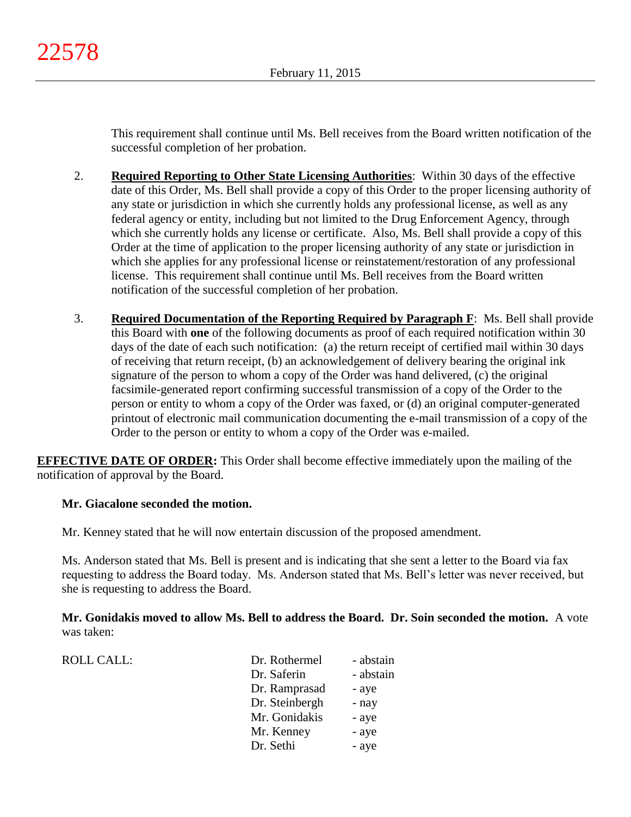This requirement shall continue until Ms. Bell receives from the Board written notification of the successful completion of her probation.

- 2. **Required Reporting to Other State Licensing Authorities**: Within 30 days of the effective date of this Order, Ms. Bell shall provide a copy of this Order to the proper licensing authority of any state or jurisdiction in which she currently holds any professional license, as well as any federal agency or entity, including but not limited to the Drug Enforcement Agency, through which she currently holds any license or certificate. Also, Ms. Bell shall provide a copy of this Order at the time of application to the proper licensing authority of any state or jurisdiction in which she applies for any professional license or reinstatement/restoration of any professional license. This requirement shall continue until Ms. Bell receives from the Board written notification of the successful completion of her probation.
- 3. **Required Documentation of the Reporting Required by Paragraph F**: Ms. Bell shall provide this Board with **one** of the following documents as proof of each required notification within 30 days of the date of each such notification: (a) the return receipt of certified mail within 30 days of receiving that return receipt, (b) an acknowledgement of delivery bearing the original ink signature of the person to whom a copy of the Order was hand delivered, (c) the original facsimile-generated report confirming successful transmission of a copy of the Order to the person or entity to whom a copy of the Order was faxed, or (d) an original computer-generated printout of electronic mail communication documenting the e-mail transmission of a copy of the Order to the person or entity to whom a copy of the Order was e-mailed.

**EFFECTIVE DATE OF ORDER:** This Order shall become effective immediately upon the mailing of the notification of approval by the Board.

# **Mr. Giacalone seconded the motion.**

ROLL CALL:

Mr. Kenney stated that he will now entertain discussion of the proposed amendment.

Ms. Anderson stated that Ms. Bell is present and is indicating that she sent a letter to the Board via fax requesting to address the Board today. Ms. Anderson stated that Ms. Bell's letter was never received, but she is requesting to address the Board.

**Mr. Gonidakis moved to allow Ms. Bell to address the Board. Dr. Soin seconded the motion.** A vote was taken:

| Dr. Rothermel  | - abstain |
|----------------|-----------|
| Dr. Saferin    | - abstain |
| Dr. Ramprasad  | - aye     |
| Dr. Steinbergh | - nay     |
| Mr. Gonidakis  | - aye     |
| Mr. Kenney     | - aye     |
| Dr. Sethi      | - aye     |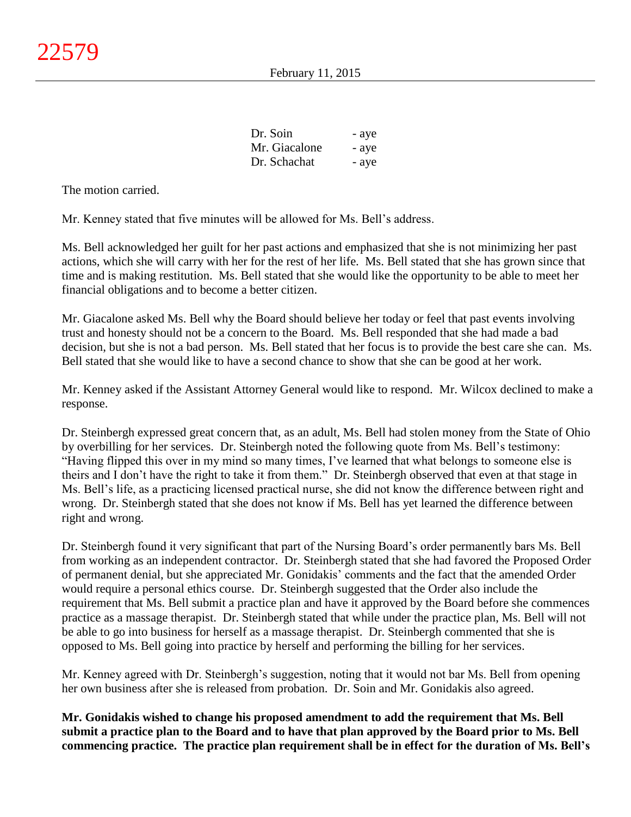| Dr. Soin      | - aye |
|---------------|-------|
| Mr. Giacalone | - aye |
| Dr. Schachat  | - aye |

The motion carried.

Mr. Kenney stated that five minutes will be allowed for Ms. Bell's address.

Ms. Bell acknowledged her guilt for her past actions and emphasized that she is not minimizing her past actions, which she will carry with her for the rest of her life. Ms. Bell stated that she has grown since that time and is making restitution. Ms. Bell stated that she would like the opportunity to be able to meet her financial obligations and to become a better citizen.

Mr. Giacalone asked Ms. Bell why the Board should believe her today or feel that past events involving trust and honesty should not be a concern to the Board. Ms. Bell responded that she had made a bad decision, but she is not a bad person. Ms. Bell stated that her focus is to provide the best care she can. Ms. Bell stated that she would like to have a second chance to show that she can be good at her work.

Mr. Kenney asked if the Assistant Attorney General would like to respond. Mr. Wilcox declined to make a response.

Dr. Steinbergh expressed great concern that, as an adult, Ms. Bell had stolen money from the State of Ohio by overbilling for her services. Dr. Steinbergh noted the following quote from Ms. Bell's testimony: "Having flipped this over in my mind so many times, I've learned that what belongs to someone else is theirs and I don't have the right to take it from them." Dr. Steinbergh observed that even at that stage in Ms. Bell's life, as a practicing licensed practical nurse, she did not know the difference between right and wrong. Dr. Steinbergh stated that she does not know if Ms. Bell has yet learned the difference between right and wrong.

Dr. Steinbergh found it very significant that part of the Nursing Board's order permanently bars Ms. Bell from working as an independent contractor. Dr. Steinbergh stated that she had favored the Proposed Order of permanent denial, but she appreciated Mr. Gonidakis' comments and the fact that the amended Order would require a personal ethics course. Dr. Steinbergh suggested that the Order also include the requirement that Ms. Bell submit a practice plan and have it approved by the Board before she commences practice as a massage therapist. Dr. Steinbergh stated that while under the practice plan, Ms. Bell will not be able to go into business for herself as a massage therapist. Dr. Steinbergh commented that she is opposed to Ms. Bell going into practice by herself and performing the billing for her services.

Mr. Kenney agreed with Dr. Steinbergh's suggestion, noting that it would not bar Ms. Bell from opening her own business after she is released from probation. Dr. Soin and Mr. Gonidakis also agreed.

**Mr. Gonidakis wished to change his proposed amendment to add the requirement that Ms. Bell submit a practice plan to the Board and to have that plan approved by the Board prior to Ms. Bell commencing practice. The practice plan requirement shall be in effect for the duration of Ms. Bell's**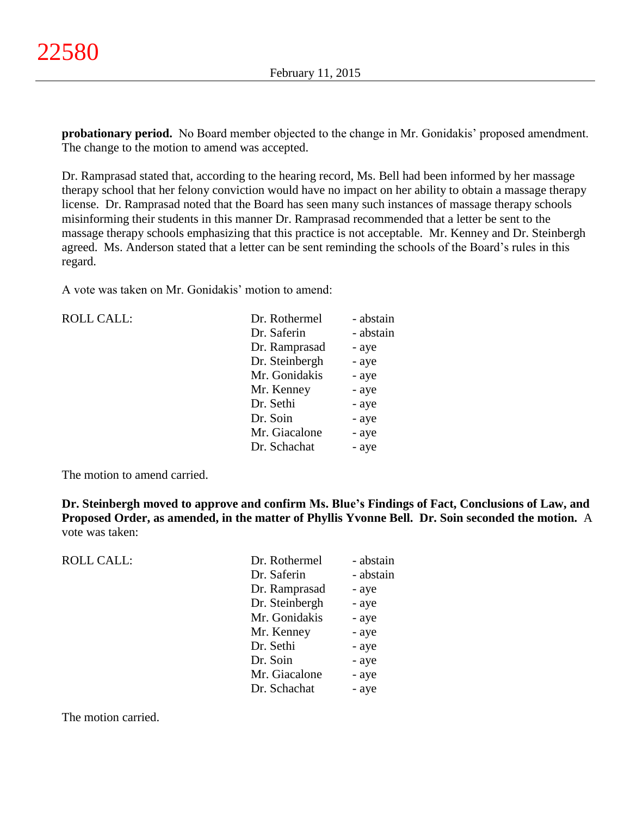**probationary period.** No Board member objected to the change in Mr. Gonidakis' proposed amendment. The change to the motion to amend was accepted.

Dr. Ramprasad stated that, according to the hearing record, Ms. Bell had been informed by her massage therapy school that her felony conviction would have no impact on her ability to obtain a massage therapy license. Dr. Ramprasad noted that the Board has seen many such instances of massage therapy schools misinforming their students in this manner Dr. Ramprasad recommended that a letter be sent to the massage therapy schools emphasizing that this practice is not acceptable. Mr. Kenney and Dr. Steinbergh agreed. Ms. Anderson stated that a letter can be sent reminding the schools of the Board's rules in this regard.

A vote was taken on Mr. Gonidakis' motion to amend:

| <b>ROLL CALL:</b> | Dr. Rothermel  | - abstain |
|-------------------|----------------|-----------|
|                   | Dr. Saferin    | - abstain |
|                   | Dr. Ramprasad  | - aye     |
|                   | Dr. Steinbergh | - aye     |
|                   | Mr. Gonidakis  | - aye     |
|                   | Mr. Kenney     | - aye     |
|                   | Dr. Sethi      | - aye     |
|                   | Dr. Soin       | - aye     |
|                   | Mr. Giacalone  | - aye     |
|                   | Dr. Schachat   | - aye     |
|                   |                |           |

The motion to amend carried.

**Dr. Steinbergh moved to approve and confirm Ms. Blue's Findings of Fact, Conclusions of Law, and Proposed Order, as amended, in the matter of Phyllis Yvonne Bell. Dr. Soin seconded the motion.** A vote was taken:

| <b>ROLL CALL:</b> | Dr. Rothermel  | - abstain |
|-------------------|----------------|-----------|
|                   | Dr. Saferin    | - abstain |
|                   | Dr. Ramprasad  | - aye     |
|                   | Dr. Steinbergh | - aye     |
|                   | Mr. Gonidakis  | - aye     |
|                   | Mr. Kenney     | - aye     |
|                   | Dr. Sethi      | - aye     |
|                   | Dr. Soin       | - aye     |
|                   | Mr. Giacalone  | - aye     |
|                   | Dr. Schachat   | - aye     |
|                   |                |           |

The motion carried.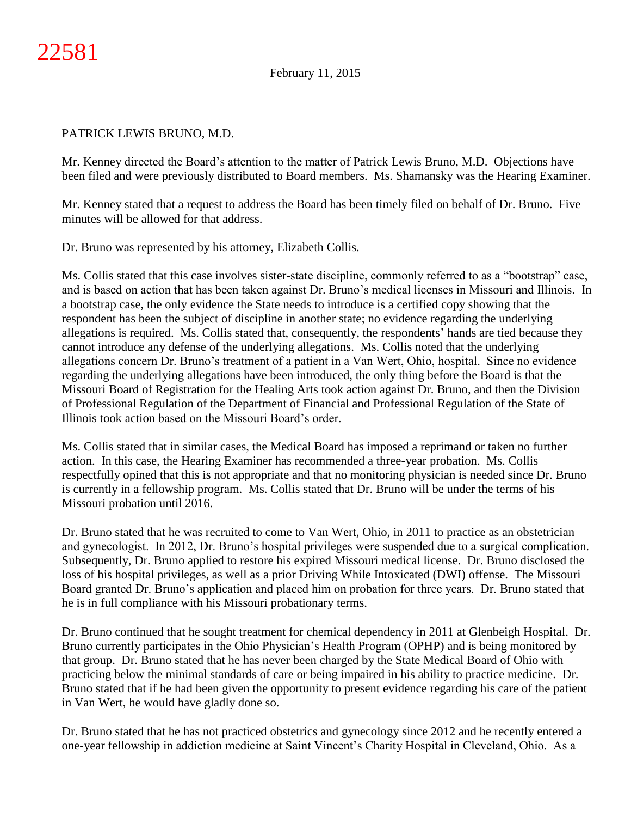## PATRICK LEWIS BRUNO, M.D.

Mr. Kenney directed the Board's attention to the matter of Patrick Lewis Bruno, M.D. Objections have been filed and were previously distributed to Board members. Ms. Shamansky was the Hearing Examiner.

Mr. Kenney stated that a request to address the Board has been timely filed on behalf of Dr. Bruno. Five minutes will be allowed for that address.

Dr. Bruno was represented by his attorney, Elizabeth Collis.

Ms. Collis stated that this case involves sister-state discipline, commonly referred to as a "bootstrap" case, and is based on action that has been taken against Dr. Bruno's medical licenses in Missouri and Illinois. In a bootstrap case, the only evidence the State needs to introduce is a certified copy showing that the respondent has been the subject of discipline in another state; no evidence regarding the underlying allegations is required. Ms. Collis stated that, consequently, the respondents' hands are tied because they cannot introduce any defense of the underlying allegations. Ms. Collis noted that the underlying allegations concern Dr. Bruno's treatment of a patient in a Van Wert, Ohio, hospital. Since no evidence regarding the underlying allegations have been introduced, the only thing before the Board is that the Missouri Board of Registration for the Healing Arts took action against Dr. Bruno, and then the Division of Professional Regulation of the Department of Financial and Professional Regulation of the State of Illinois took action based on the Missouri Board's order.

Ms. Collis stated that in similar cases, the Medical Board has imposed a reprimand or taken no further action. In this case, the Hearing Examiner has recommended a three-year probation. Ms. Collis respectfully opined that this is not appropriate and that no monitoring physician is needed since Dr. Bruno is currently in a fellowship program. Ms. Collis stated that Dr. Bruno will be under the terms of his Missouri probation until 2016.

Dr. Bruno stated that he was recruited to come to Van Wert, Ohio, in 2011 to practice as an obstetrician and gynecologist. In 2012, Dr. Bruno's hospital privileges were suspended due to a surgical complication. Subsequently, Dr. Bruno applied to restore his expired Missouri medical license. Dr. Bruno disclosed the loss of his hospital privileges, as well as a prior Driving While Intoxicated (DWI) offense. The Missouri Board granted Dr. Bruno's application and placed him on probation for three years. Dr. Bruno stated that he is in full compliance with his Missouri probationary terms.

Dr. Bruno continued that he sought treatment for chemical dependency in 2011 at Glenbeigh Hospital. Dr. Bruno currently participates in the Ohio Physician's Health Program (OPHP) and is being monitored by that group. Dr. Bruno stated that he has never been charged by the State Medical Board of Ohio with practicing below the minimal standards of care or being impaired in his ability to practice medicine. Dr. Bruno stated that if he had been given the opportunity to present evidence regarding his care of the patient in Van Wert, he would have gladly done so.

Dr. Bruno stated that he has not practiced obstetrics and gynecology since 2012 and he recently entered a one-year fellowship in addiction medicine at Saint Vincent's Charity Hospital in Cleveland, Ohio. As a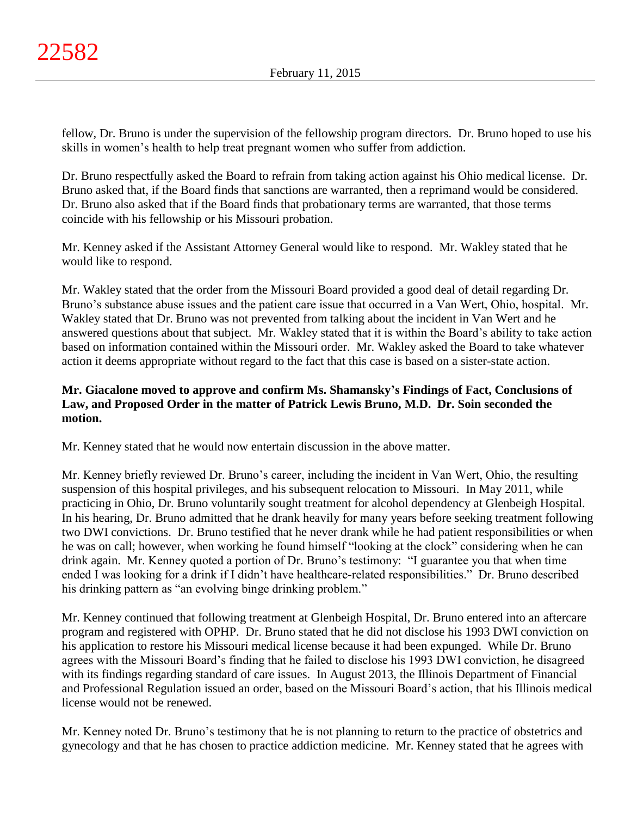fellow, Dr. Bruno is under the supervision of the fellowship program directors. Dr. Bruno hoped to use his skills in women's health to help treat pregnant women who suffer from addiction.

Dr. Bruno respectfully asked the Board to refrain from taking action against his Ohio medical license. Dr. Bruno asked that, if the Board finds that sanctions are warranted, then a reprimand would be considered. Dr. Bruno also asked that if the Board finds that probationary terms are warranted, that those terms coincide with his fellowship or his Missouri probation.

Mr. Kenney asked if the Assistant Attorney General would like to respond. Mr. Wakley stated that he would like to respond.

Mr. Wakley stated that the order from the Missouri Board provided a good deal of detail regarding Dr. Bruno's substance abuse issues and the patient care issue that occurred in a Van Wert, Ohio, hospital. Mr. Wakley stated that Dr. Bruno was not prevented from talking about the incident in Van Wert and he answered questions about that subject. Mr. Wakley stated that it is within the Board's ability to take action based on information contained within the Missouri order. Mr. Wakley asked the Board to take whatever action it deems appropriate without regard to the fact that this case is based on a sister-state action.

# **Mr. Giacalone moved to approve and confirm Ms. Shamansky's Findings of Fact, Conclusions of Law, and Proposed Order in the matter of Patrick Lewis Bruno, M.D. Dr. Soin seconded the motion.**

Mr. Kenney stated that he would now entertain discussion in the above matter.

Mr. Kenney briefly reviewed Dr. Bruno's career, including the incident in Van Wert, Ohio, the resulting suspension of this hospital privileges, and his subsequent relocation to Missouri. In May 2011, while practicing in Ohio, Dr. Bruno voluntarily sought treatment for alcohol dependency at Glenbeigh Hospital. In his hearing, Dr. Bruno admitted that he drank heavily for many years before seeking treatment following two DWI convictions. Dr. Bruno testified that he never drank while he had patient responsibilities or when he was on call; however, when working he found himself "looking at the clock" considering when he can drink again. Mr. Kenney quoted a portion of Dr. Bruno's testimony: "I guarantee you that when time ended I was looking for a drink if I didn't have healthcare-related responsibilities." Dr. Bruno described his drinking pattern as "an evolving binge drinking problem."

Mr. Kenney continued that following treatment at Glenbeigh Hospital, Dr. Bruno entered into an aftercare program and registered with OPHP. Dr. Bruno stated that he did not disclose his 1993 DWI conviction on his application to restore his Missouri medical license because it had been expunged. While Dr. Bruno agrees with the Missouri Board's finding that he failed to disclose his 1993 DWI conviction, he disagreed with its findings regarding standard of care issues. In August 2013, the Illinois Department of Financial and Professional Regulation issued an order, based on the Missouri Board's action, that his Illinois medical license would not be renewed.

Mr. Kenney noted Dr. Bruno's testimony that he is not planning to return to the practice of obstetrics and gynecology and that he has chosen to practice addiction medicine. Mr. Kenney stated that he agrees with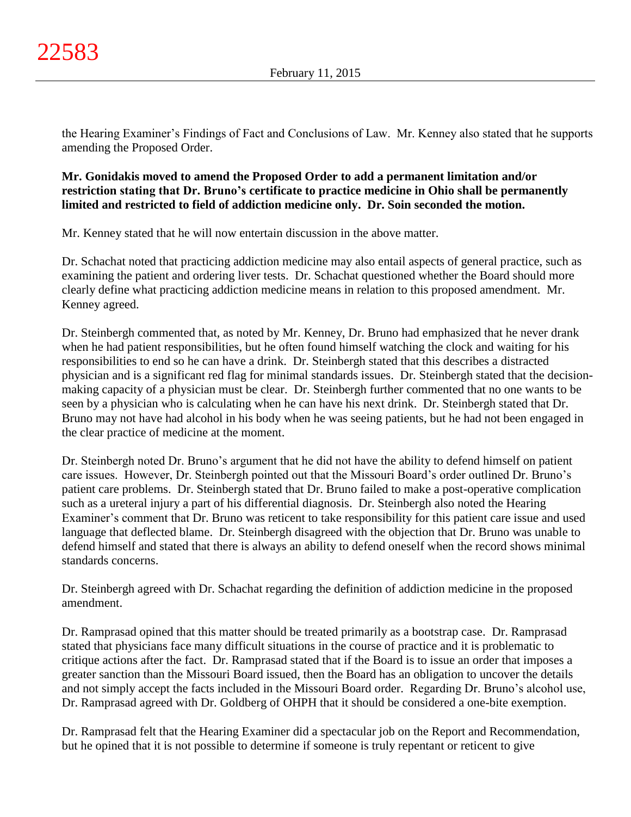the Hearing Examiner's Findings of Fact and Conclusions of Law. Mr. Kenney also stated that he supports amending the Proposed Order.

# **Mr. Gonidakis moved to amend the Proposed Order to add a permanent limitation and/or restriction stating that Dr. Bruno's certificate to practice medicine in Ohio shall be permanently limited and restricted to field of addiction medicine only. Dr. Soin seconded the motion.**

Mr. Kenney stated that he will now entertain discussion in the above matter.

Dr. Schachat noted that practicing addiction medicine may also entail aspects of general practice, such as examining the patient and ordering liver tests. Dr. Schachat questioned whether the Board should more clearly define what practicing addiction medicine means in relation to this proposed amendment. Mr. Kenney agreed.

Dr. Steinbergh commented that, as noted by Mr. Kenney, Dr. Bruno had emphasized that he never drank when he had patient responsibilities, but he often found himself watching the clock and waiting for his responsibilities to end so he can have a drink. Dr. Steinbergh stated that this describes a distracted physician and is a significant red flag for minimal standards issues. Dr. Steinbergh stated that the decisionmaking capacity of a physician must be clear. Dr. Steinbergh further commented that no one wants to be seen by a physician who is calculating when he can have his next drink. Dr. Steinbergh stated that Dr. Bruno may not have had alcohol in his body when he was seeing patients, but he had not been engaged in the clear practice of medicine at the moment.

Dr. Steinbergh noted Dr. Bruno's argument that he did not have the ability to defend himself on patient care issues. However, Dr. Steinbergh pointed out that the Missouri Board's order outlined Dr. Bruno's patient care problems. Dr. Steinbergh stated that Dr. Bruno failed to make a post-operative complication such as a ureteral injury a part of his differential diagnosis. Dr. Steinbergh also noted the Hearing Examiner's comment that Dr. Bruno was reticent to take responsibility for this patient care issue and used language that deflected blame. Dr. Steinbergh disagreed with the objection that Dr. Bruno was unable to defend himself and stated that there is always an ability to defend oneself when the record shows minimal standards concerns.

Dr. Steinbergh agreed with Dr. Schachat regarding the definition of addiction medicine in the proposed amendment.

Dr. Ramprasad opined that this matter should be treated primarily as a bootstrap case. Dr. Ramprasad stated that physicians face many difficult situations in the course of practice and it is problematic to critique actions after the fact. Dr. Ramprasad stated that if the Board is to issue an order that imposes a greater sanction than the Missouri Board issued, then the Board has an obligation to uncover the details and not simply accept the facts included in the Missouri Board order. Regarding Dr. Bruno's alcohol use, Dr. Ramprasad agreed with Dr. Goldberg of OHPH that it should be considered a one-bite exemption.

Dr. Ramprasad felt that the Hearing Examiner did a spectacular job on the Report and Recommendation, but he opined that it is not possible to determine if someone is truly repentant or reticent to give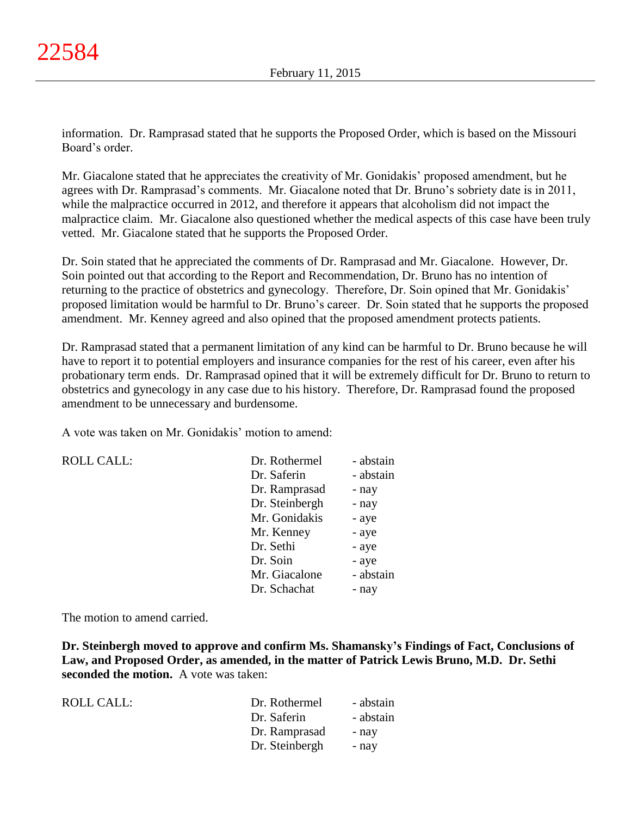information. Dr. Ramprasad stated that he supports the Proposed Order, which is based on the Missouri Board's order.

Mr. Giacalone stated that he appreciates the creativity of Mr. Gonidakis' proposed amendment, but he agrees with Dr. Ramprasad's comments. Mr. Giacalone noted that Dr. Bruno's sobriety date is in 2011, while the malpractice occurred in 2012, and therefore it appears that alcoholism did not impact the malpractice claim. Mr. Giacalone also questioned whether the medical aspects of this case have been truly vetted. Mr. Giacalone stated that he supports the Proposed Order.

Dr. Soin stated that he appreciated the comments of Dr. Ramprasad and Mr. Giacalone. However, Dr. Soin pointed out that according to the Report and Recommendation, Dr. Bruno has no intention of returning to the practice of obstetrics and gynecology. Therefore, Dr. Soin opined that Mr. Gonidakis' proposed limitation would be harmful to Dr. Bruno's career. Dr. Soin stated that he supports the proposed amendment. Mr. Kenney agreed and also opined that the proposed amendment protects patients.

Dr. Ramprasad stated that a permanent limitation of any kind can be harmful to Dr. Bruno because he will have to report it to potential employers and insurance companies for the rest of his career, even after his probationary term ends. Dr. Ramprasad opined that it will be extremely difficult for Dr. Bruno to return to obstetrics and gynecology in any case due to his history. Therefore, Dr. Ramprasad found the proposed amendment to be unnecessary and burdensome.

A vote was taken on Mr. Gonidakis' motion to amend:

 $ROLL CALL$ :

| Dr. Rothermel  | - abstain |
|----------------|-----------|
| Dr. Saferin    | - abstain |
| Dr. Ramprasad  | - nay     |
| Dr. Steinbergh | - nay     |
| Mr. Gonidakis  | - aye     |
| Mr. Kenney     | - aye     |
| Dr. Sethi      | - aye     |
| Dr. Soin       | - aye     |
| Mr. Giacalone  | - abstain |
| Dr. Schachat   | - nav     |

The motion to amend carried.

**Dr. Steinbergh moved to approve and confirm Ms. Shamansky's Findings of Fact, Conclusions of Law, and Proposed Order, as amended, in the matter of Patrick Lewis Bruno, M.D. Dr. Sethi seconded the motion.** A vote was taken:

| ROLL CALL: | Dr. Rothermel  | - abstain |
|------------|----------------|-----------|
|            | Dr. Saferin    | - abstain |
|            | Dr. Ramprasad  | - nav     |
|            | Dr. Steinbergh | - nav     |
|            |                |           |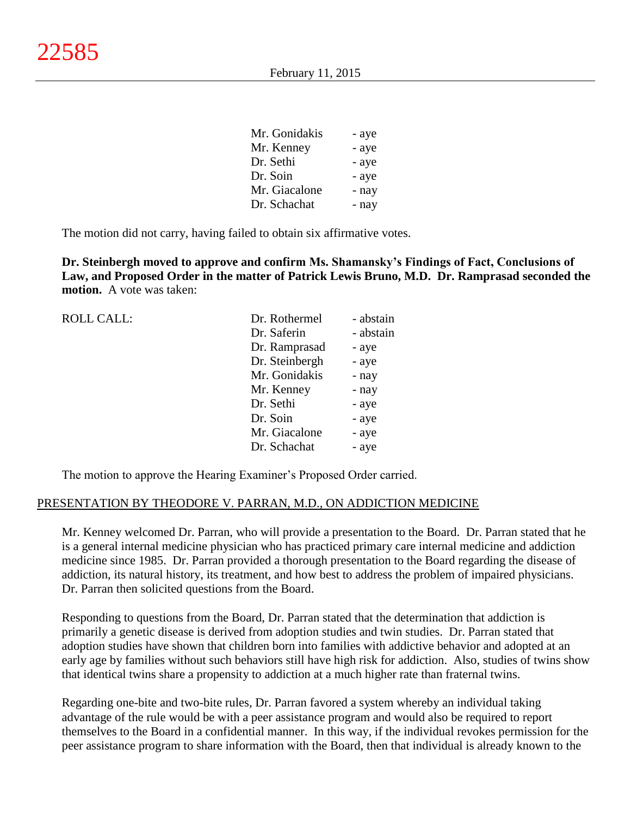| Mr. Gonidakis | - aye |
|---------------|-------|
| Mr. Kenney    | - aye |
| Dr. Sethi     | - aye |
| Dr. Soin      | - aye |
| Mr. Giacalone | - nay |
| Dr. Schachat  | - nay |

The motion did not carry, having failed to obtain six affirmative votes.

**Dr. Steinbergh moved to approve and confirm Ms. Shamansky's Findings of Fact, Conclusions of Law, and Proposed Order in the matter of Patrick Lewis Bruno, M.D. Dr. Ramprasad seconded the motion.** A vote was taken:

| <b>ROLL CALL:</b> | Dr. Rothermel  | - abstain |
|-------------------|----------------|-----------|
|                   | Dr. Saferin    | - abstain |
|                   | Dr. Ramprasad  | - aye     |
|                   | Dr. Steinbergh | - aye     |
|                   | Mr. Gonidakis  | - nay     |
|                   | Mr. Kenney     | - nay     |
|                   | Dr. Sethi      | - aye     |
|                   | Dr. Soin       | - aye     |
|                   | Mr. Giacalone  | - aye     |
|                   | Dr. Schachat   | - aye     |
|                   |                |           |

The motion to approve the Hearing Examiner's Proposed Order carried.

#### PRESENTATION BY THEODORE V. PARRAN, M.D., ON ADDICTION MEDICINE

Mr. Kenney welcomed Dr. Parran, who will provide a presentation to the Board. Dr. Parran stated that he is a general internal medicine physician who has practiced primary care internal medicine and addiction medicine since 1985. Dr. Parran provided a thorough presentation to the Board regarding the disease of addiction, its natural history, its treatment, and how best to address the problem of impaired physicians. Dr. Parran then solicited questions from the Board.

Responding to questions from the Board, Dr. Parran stated that the determination that addiction is primarily a genetic disease is derived from adoption studies and twin studies. Dr. Parran stated that adoption studies have shown that children born into families with addictive behavior and adopted at an early age by families without such behaviors still have high risk for addiction. Also, studies of twins show that identical twins share a propensity to addiction at a much higher rate than fraternal twins.

Regarding one-bite and two-bite rules, Dr. Parran favored a system whereby an individual taking advantage of the rule would be with a peer assistance program and would also be required to report themselves to the Board in a confidential manner. In this way, if the individual revokes permission for the peer assistance program to share information with the Board, then that individual is already known to the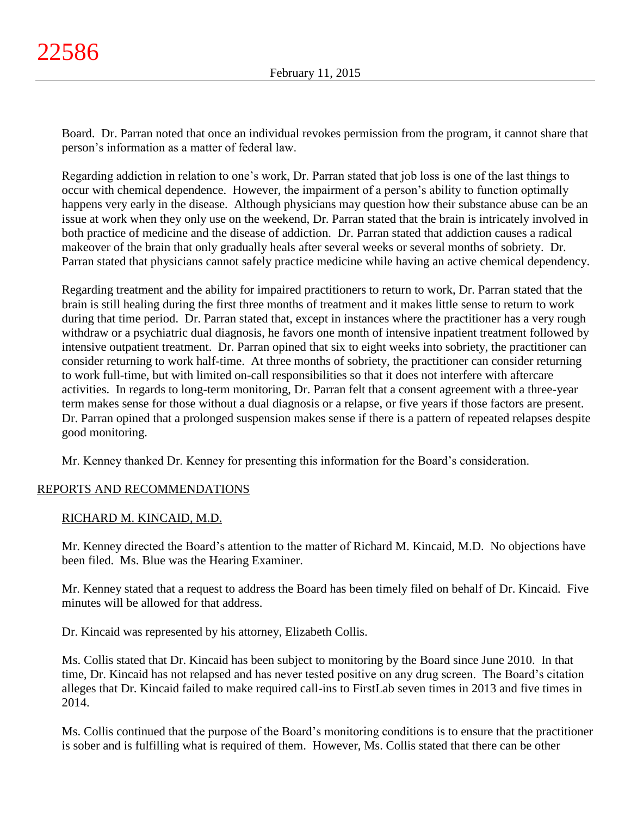Board. Dr. Parran noted that once an individual revokes permission from the program, it cannot share that person's information as a matter of federal law.

Regarding addiction in relation to one's work, Dr. Parran stated that job loss is one of the last things to occur with chemical dependence. However, the impairment of a person's ability to function optimally happens very early in the disease. Although physicians may question how their substance abuse can be an issue at work when they only use on the weekend, Dr. Parran stated that the brain is intricately involved in both practice of medicine and the disease of addiction. Dr. Parran stated that addiction causes a radical makeover of the brain that only gradually heals after several weeks or several months of sobriety. Dr. Parran stated that physicians cannot safely practice medicine while having an active chemical dependency.

Regarding treatment and the ability for impaired practitioners to return to work, Dr. Parran stated that the brain is still healing during the first three months of treatment and it makes little sense to return to work during that time period. Dr. Parran stated that, except in instances where the practitioner has a very rough withdraw or a psychiatric dual diagnosis, he favors one month of intensive inpatient treatment followed by intensive outpatient treatment. Dr. Parran opined that six to eight weeks into sobriety, the practitioner can consider returning to work half-time. At three months of sobriety, the practitioner can consider returning to work full-time, but with limited on-call responsibilities so that it does not interfere with aftercare activities. In regards to long-term monitoring, Dr. Parran felt that a consent agreement with a three-year term makes sense for those without a dual diagnosis or a relapse, or five years if those factors are present. Dr. Parran opined that a prolonged suspension makes sense if there is a pattern of repeated relapses despite good monitoring.

Mr. Kenney thanked Dr. Kenney for presenting this information for the Board's consideration.

# REPORTS AND RECOMMENDATIONS

### RICHARD M. KINCAID, M.D.

Mr. Kenney directed the Board's attention to the matter of Richard M. Kincaid, M.D. No objections have been filed. Ms. Blue was the Hearing Examiner.

Mr. Kenney stated that a request to address the Board has been timely filed on behalf of Dr. Kincaid. Five minutes will be allowed for that address.

Dr. Kincaid was represented by his attorney, Elizabeth Collis.

Ms. Collis stated that Dr. Kincaid has been subject to monitoring by the Board since June 2010. In that time, Dr. Kincaid has not relapsed and has never tested positive on any drug screen. The Board's citation alleges that Dr. Kincaid failed to make required call-ins to FirstLab seven times in 2013 and five times in 2014.

Ms. Collis continued that the purpose of the Board's monitoring conditions is to ensure that the practitioner is sober and is fulfilling what is required of them. However, Ms. Collis stated that there can be other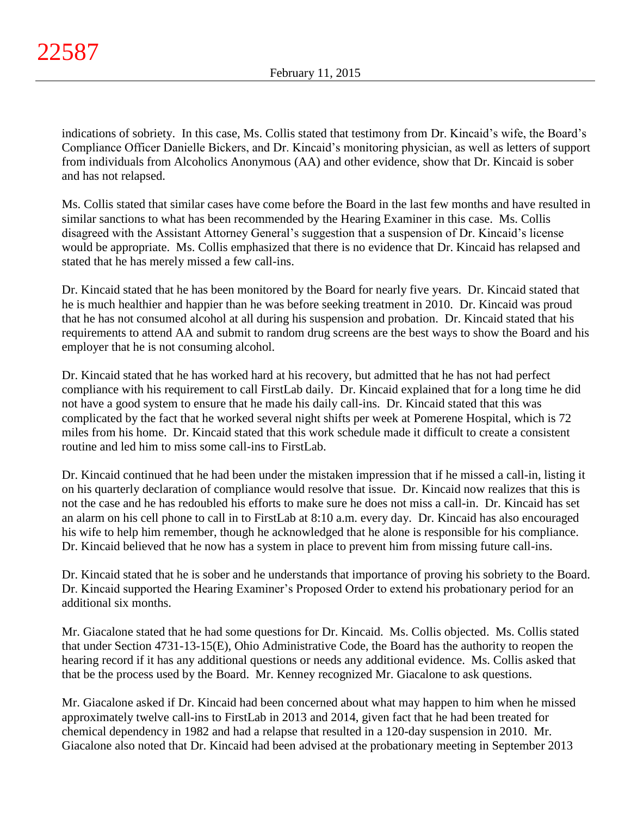indications of sobriety. In this case, Ms. Collis stated that testimony from Dr. Kincaid's wife, the Board's Compliance Officer Danielle Bickers, and Dr. Kincaid's monitoring physician, as well as letters of support from individuals from Alcoholics Anonymous (AA) and other evidence, show that Dr. Kincaid is sober and has not relapsed.

Ms. Collis stated that similar cases have come before the Board in the last few months and have resulted in similar sanctions to what has been recommended by the Hearing Examiner in this case. Ms. Collis disagreed with the Assistant Attorney General's suggestion that a suspension of Dr. Kincaid's license would be appropriate. Ms. Collis emphasized that there is no evidence that Dr. Kincaid has relapsed and stated that he has merely missed a few call-ins.

Dr. Kincaid stated that he has been monitored by the Board for nearly five years. Dr. Kincaid stated that he is much healthier and happier than he was before seeking treatment in 2010. Dr. Kincaid was proud that he has not consumed alcohol at all during his suspension and probation. Dr. Kincaid stated that his requirements to attend AA and submit to random drug screens are the best ways to show the Board and his employer that he is not consuming alcohol.

Dr. Kincaid stated that he has worked hard at his recovery, but admitted that he has not had perfect compliance with his requirement to call FirstLab daily. Dr. Kincaid explained that for a long time he did not have a good system to ensure that he made his daily call-ins. Dr. Kincaid stated that this was complicated by the fact that he worked several night shifts per week at Pomerene Hospital, which is 72 miles from his home. Dr. Kincaid stated that this work schedule made it difficult to create a consistent routine and led him to miss some call-ins to FirstLab.

Dr. Kincaid continued that he had been under the mistaken impression that if he missed a call-in, listing it on his quarterly declaration of compliance would resolve that issue. Dr. Kincaid now realizes that this is not the case and he has redoubled his efforts to make sure he does not miss a call-in. Dr. Kincaid has set an alarm on his cell phone to call in to FirstLab at 8:10 a.m. every day. Dr. Kincaid has also encouraged his wife to help him remember, though he acknowledged that he alone is responsible for his compliance. Dr. Kincaid believed that he now has a system in place to prevent him from missing future call-ins.

Dr. Kincaid stated that he is sober and he understands that importance of proving his sobriety to the Board. Dr. Kincaid supported the Hearing Examiner's Proposed Order to extend his probationary period for an additional six months.

Mr. Giacalone stated that he had some questions for Dr. Kincaid. Ms. Collis objected. Ms. Collis stated that under Section 4731-13-15(E), Ohio Administrative Code, the Board has the authority to reopen the hearing record if it has any additional questions or needs any additional evidence. Ms. Collis asked that that be the process used by the Board. Mr. Kenney recognized Mr. Giacalone to ask questions.

Mr. Giacalone asked if Dr. Kincaid had been concerned about what may happen to him when he missed approximately twelve call-ins to FirstLab in 2013 and 2014, given fact that he had been treated for chemical dependency in 1982 and had a relapse that resulted in a 120-day suspension in 2010. Mr. Giacalone also noted that Dr. Kincaid had been advised at the probationary meeting in September 2013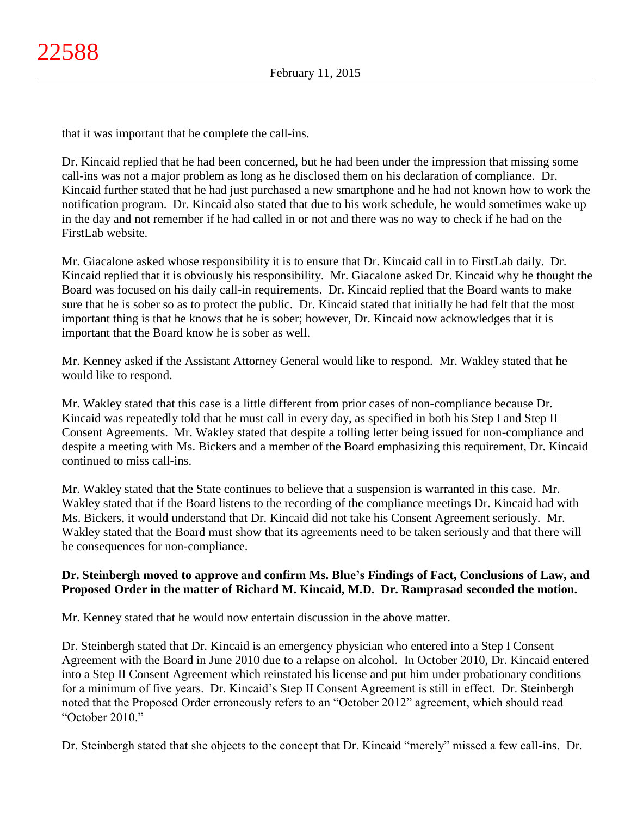that it was important that he complete the call-ins.

Dr. Kincaid replied that he had been concerned, but he had been under the impression that missing some call-ins was not a major problem as long as he disclosed them on his declaration of compliance. Dr. Kincaid further stated that he had just purchased a new smartphone and he had not known how to work the notification program. Dr. Kincaid also stated that due to his work schedule, he would sometimes wake up in the day and not remember if he had called in or not and there was no way to check if he had on the FirstLab website.

Mr. Giacalone asked whose responsibility it is to ensure that Dr. Kincaid call in to FirstLab daily. Dr. Kincaid replied that it is obviously his responsibility. Mr. Giacalone asked Dr. Kincaid why he thought the Board was focused on his daily call-in requirements. Dr. Kincaid replied that the Board wants to make sure that he is sober so as to protect the public. Dr. Kincaid stated that initially he had felt that the most important thing is that he knows that he is sober; however, Dr. Kincaid now acknowledges that it is important that the Board know he is sober as well.

Mr. Kenney asked if the Assistant Attorney General would like to respond. Mr. Wakley stated that he would like to respond.

Mr. Wakley stated that this case is a little different from prior cases of non-compliance because Dr. Kincaid was repeatedly told that he must call in every day, as specified in both his Step I and Step II Consent Agreements. Mr. Wakley stated that despite a tolling letter being issued for non-compliance and despite a meeting with Ms. Bickers and a member of the Board emphasizing this requirement, Dr. Kincaid continued to miss call-ins.

Mr. Wakley stated that the State continues to believe that a suspension is warranted in this case. Mr. Wakley stated that if the Board listens to the recording of the compliance meetings Dr. Kincaid had with Ms. Bickers, it would understand that Dr. Kincaid did not take his Consent Agreement seriously. Mr. Wakley stated that the Board must show that its agreements need to be taken seriously and that there will be consequences for non-compliance.

# **Dr. Steinbergh moved to approve and confirm Ms. Blue's Findings of Fact, Conclusions of Law, and Proposed Order in the matter of Richard M. Kincaid, M.D. Dr. Ramprasad seconded the motion.**

Mr. Kenney stated that he would now entertain discussion in the above matter.

Dr. Steinbergh stated that Dr. Kincaid is an emergency physician who entered into a Step I Consent Agreement with the Board in June 2010 due to a relapse on alcohol. In October 2010, Dr. Kincaid entered into a Step II Consent Agreement which reinstated his license and put him under probationary conditions for a minimum of five years. Dr. Kincaid's Step II Consent Agreement is still in effect. Dr. Steinbergh noted that the Proposed Order erroneously refers to an "October 2012" agreement, which should read "October 2010"

Dr. Steinbergh stated that she objects to the concept that Dr. Kincaid "merely" missed a few call-ins. Dr.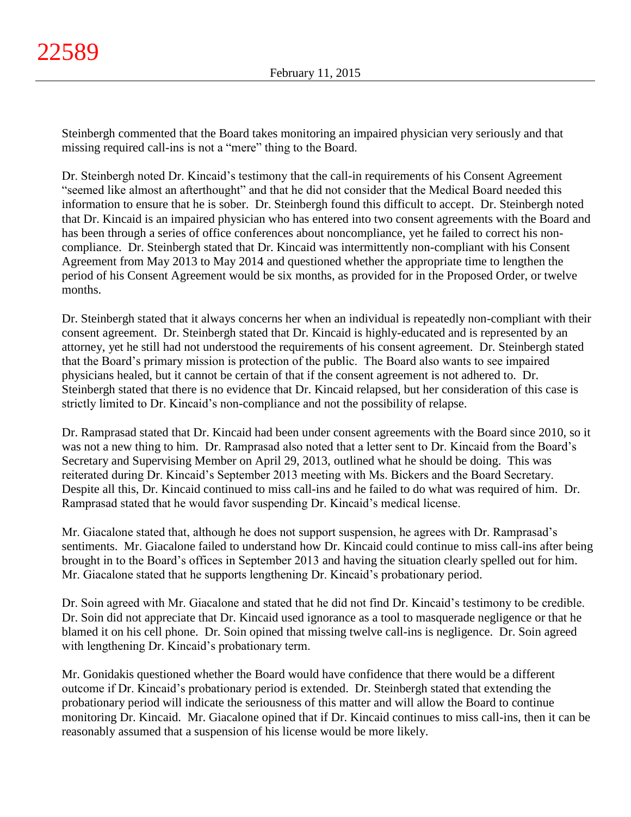Steinbergh commented that the Board takes monitoring an impaired physician very seriously and that missing required call-ins is not a "mere" thing to the Board.

Dr. Steinbergh noted Dr. Kincaid's testimony that the call-in requirements of his Consent Agreement "seemed like almost an afterthought" and that he did not consider that the Medical Board needed this information to ensure that he is sober. Dr. Steinbergh found this difficult to accept. Dr. Steinbergh noted that Dr. Kincaid is an impaired physician who has entered into two consent agreements with the Board and has been through a series of office conferences about noncompliance, yet he failed to correct his noncompliance. Dr. Steinbergh stated that Dr. Kincaid was intermittently non-compliant with his Consent Agreement from May 2013 to May 2014 and questioned whether the appropriate time to lengthen the period of his Consent Agreement would be six months, as provided for in the Proposed Order, or twelve months.

Dr. Steinbergh stated that it always concerns her when an individual is repeatedly non-compliant with their consent agreement. Dr. Steinbergh stated that Dr. Kincaid is highly-educated and is represented by an attorney, yet he still had not understood the requirements of his consent agreement. Dr. Steinbergh stated that the Board's primary mission is protection of the public. The Board also wants to see impaired physicians healed, but it cannot be certain of that if the consent agreement is not adhered to. Dr. Steinbergh stated that there is no evidence that Dr. Kincaid relapsed, but her consideration of this case is strictly limited to Dr. Kincaid's non-compliance and not the possibility of relapse.

Dr. Ramprasad stated that Dr. Kincaid had been under consent agreements with the Board since 2010, so it was not a new thing to him. Dr. Ramprasad also noted that a letter sent to Dr. Kincaid from the Board's Secretary and Supervising Member on April 29, 2013, outlined what he should be doing. This was reiterated during Dr. Kincaid's September 2013 meeting with Ms. Bickers and the Board Secretary. Despite all this, Dr. Kincaid continued to miss call-ins and he failed to do what was required of him. Dr. Ramprasad stated that he would favor suspending Dr. Kincaid's medical license.

Mr. Giacalone stated that, although he does not support suspension, he agrees with Dr. Ramprasad's sentiments. Mr. Giacalone failed to understand how Dr. Kincaid could continue to miss call-ins after being brought in to the Board's offices in September 2013 and having the situation clearly spelled out for him. Mr. Giacalone stated that he supports lengthening Dr. Kincaid's probationary period.

Dr. Soin agreed with Mr. Giacalone and stated that he did not find Dr. Kincaid's testimony to be credible. Dr. Soin did not appreciate that Dr. Kincaid used ignorance as a tool to masquerade negligence or that he blamed it on his cell phone. Dr. Soin opined that missing twelve call-ins is negligence. Dr. Soin agreed with lengthening Dr. Kincaid's probationary term.

Mr. Gonidakis questioned whether the Board would have confidence that there would be a different outcome if Dr. Kincaid's probationary period is extended. Dr. Steinbergh stated that extending the probationary period will indicate the seriousness of this matter and will allow the Board to continue monitoring Dr. Kincaid. Mr. Giacalone opined that if Dr. Kincaid continues to miss call-ins, then it can be reasonably assumed that a suspension of his license would be more likely.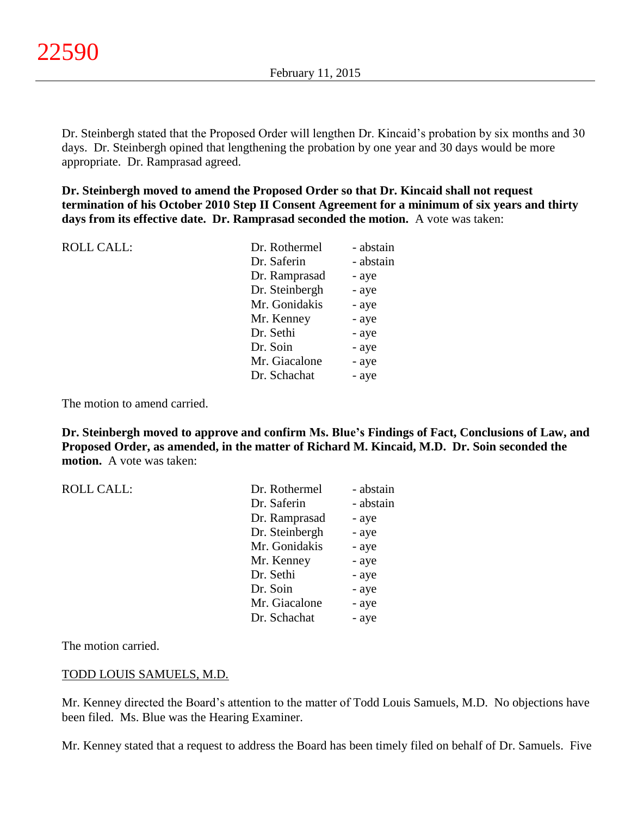Dr. Steinbergh stated that the Proposed Order will lengthen Dr. Kincaid's probation by six months and 30 days. Dr. Steinbergh opined that lengthening the probation by one year and 30 days would be more appropriate. Dr. Ramprasad agreed.

**Dr. Steinbergh moved to amend the Proposed Order so that Dr. Kincaid shall not request termination of his October 2010 Step II Consent Agreement for a minimum of six years and thirty days from its effective date. Dr. Ramprasad seconded the motion.** A vote was taken:

| <b>ROLL CALL:</b> | Dr. Rothermel  | - abstain |
|-------------------|----------------|-----------|
|                   | Dr. Saferin    | - abstain |
|                   | Dr. Ramprasad  | - aye     |
|                   | Dr. Steinbergh | - aye     |
|                   | Mr. Gonidakis  | - aye     |
|                   | Mr. Kenney     | - aye     |
|                   | Dr. Sethi      | - aye     |
|                   | Dr. Soin       | - aye     |
|                   | Mr. Giacalone  | - aye     |
|                   | Dr. Schachat   | - aye     |
|                   |                |           |

The motion to amend carried.

**Dr. Steinbergh moved to approve and confirm Ms. Blue's Findings of Fact, Conclusions of Law, and Proposed Order, as amended, in the matter of Richard M. Kincaid, M.D. Dr. Soin seconded the motion.** A vote was taken:

| <b>ROLL CALL:</b> | Dr. Rothermel  | - abstain |
|-------------------|----------------|-----------|
|                   | Dr. Saferin    | - abstain |
|                   | Dr. Ramprasad  | - aye     |
|                   | Dr. Steinbergh | - aye     |
|                   | Mr. Gonidakis  | - aye     |
|                   | Mr. Kenney     | - aye     |
|                   | Dr. Sethi      | - aye     |
|                   | Dr. Soin       | - aye     |
|                   | Mr. Giacalone  | - aye     |
|                   | Dr. Schachat   | - aye     |

The motion carried.

#### TODD LOUIS SAMUELS, M.D.

Mr. Kenney directed the Board's attention to the matter of Todd Louis Samuels, M.D. No objections have been filed. Ms. Blue was the Hearing Examiner.

Mr. Kenney stated that a request to address the Board has been timely filed on behalf of Dr. Samuels. Five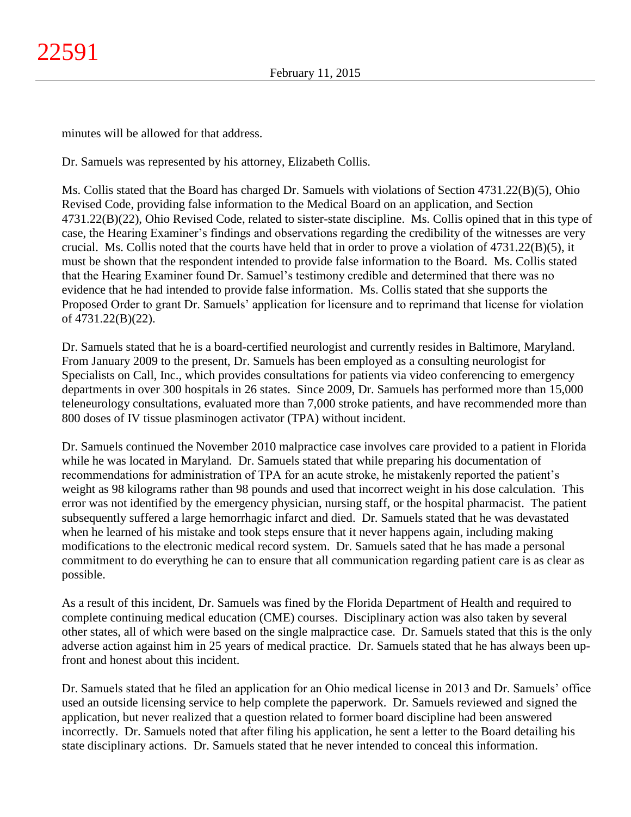minutes will be allowed for that address.

Dr. Samuels was represented by his attorney, Elizabeth Collis.

Ms. Collis stated that the Board has charged Dr. Samuels with violations of Section 4731.22(B)(5), Ohio Revised Code, providing false information to the Medical Board on an application, and Section 4731.22(B)(22), Ohio Revised Code, related to sister-state discipline. Ms. Collis opined that in this type of case, the Hearing Examiner's findings and observations regarding the credibility of the witnesses are very crucial. Ms. Collis noted that the courts have held that in order to prove a violation of  $4731.22(B)(5)$ , it must be shown that the respondent intended to provide false information to the Board. Ms. Collis stated that the Hearing Examiner found Dr. Samuel's testimony credible and determined that there was no evidence that he had intended to provide false information. Ms. Collis stated that she supports the Proposed Order to grant Dr. Samuels' application for licensure and to reprimand that license for violation of 4731.22(B)(22).

Dr. Samuels stated that he is a board-certified neurologist and currently resides in Baltimore, Maryland. From January 2009 to the present, Dr. Samuels has been employed as a consulting neurologist for Specialists on Call, Inc., which provides consultations for patients via video conferencing to emergency departments in over 300 hospitals in 26 states. Since 2009, Dr. Samuels has performed more than 15,000 teleneurology consultations, evaluated more than 7,000 stroke patients, and have recommended more than 800 doses of IV tissue plasminogen activator (TPA) without incident.

Dr. Samuels continued the November 2010 malpractice case involves care provided to a patient in Florida while he was located in Maryland. Dr. Samuels stated that while preparing his documentation of recommendations for administration of TPA for an acute stroke, he mistakenly reported the patient's weight as 98 kilograms rather than 98 pounds and used that incorrect weight in his dose calculation. This error was not identified by the emergency physician, nursing staff, or the hospital pharmacist. The patient subsequently suffered a large hemorrhagic infarct and died. Dr. Samuels stated that he was devastated when he learned of his mistake and took steps ensure that it never happens again, including making modifications to the electronic medical record system. Dr. Samuels sated that he has made a personal commitment to do everything he can to ensure that all communication regarding patient care is as clear as possible.

As a result of this incident, Dr. Samuels was fined by the Florida Department of Health and required to complete continuing medical education (CME) courses. Disciplinary action was also taken by several other states, all of which were based on the single malpractice case. Dr. Samuels stated that this is the only adverse action against him in 25 years of medical practice. Dr. Samuels stated that he has always been upfront and honest about this incident.

Dr. Samuels stated that he filed an application for an Ohio medical license in 2013 and Dr. Samuels' office used an outside licensing service to help complete the paperwork. Dr. Samuels reviewed and signed the application, but never realized that a question related to former board discipline had been answered incorrectly. Dr. Samuels noted that after filing his application, he sent a letter to the Board detailing his state disciplinary actions. Dr. Samuels stated that he never intended to conceal this information.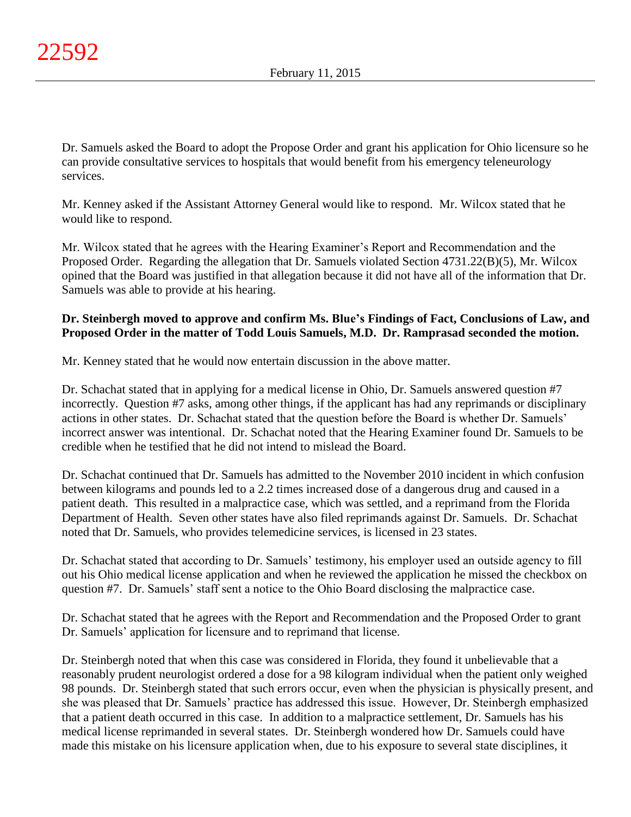Dr. Samuels asked the Board to adopt the Propose Order and grant his application for Ohio licensure so he can provide consultative services to hospitals that would benefit from his emergency teleneurology services.

Mr. Kenney asked if the Assistant Attorney General would like to respond. Mr. Wilcox stated that he would like to respond.

Mr. Wilcox stated that he agrees with the Hearing Examiner's Report and Recommendation and the Proposed Order. Regarding the allegation that Dr. Samuels violated Section 4731.22(B)(5), Mr. Wilcox opined that the Board was justified in that allegation because it did not have all of the information that Dr. Samuels was able to provide at his hearing.

# **Dr. Steinbergh moved to approve and confirm Ms. Blue's Findings of Fact, Conclusions of Law, and Proposed Order in the matter of Todd Louis Samuels, M.D. Dr. Ramprasad seconded the motion.**

Mr. Kenney stated that he would now entertain discussion in the above matter.

Dr. Schachat stated that in applying for a medical license in Ohio, Dr. Samuels answered question #7 incorrectly. Question #7 asks, among other things, if the applicant has had any reprimands or disciplinary actions in other states. Dr. Schachat stated that the question before the Board is whether Dr. Samuels' incorrect answer was intentional. Dr. Schachat noted that the Hearing Examiner found Dr. Samuels to be credible when he testified that he did not intend to mislead the Board.

Dr. Schachat continued that Dr. Samuels has admitted to the November 2010 incident in which confusion between kilograms and pounds led to a 2.2 times increased dose of a dangerous drug and caused in a patient death. This resulted in a malpractice case, which was settled, and a reprimand from the Florida Department of Health. Seven other states have also filed reprimands against Dr. Samuels. Dr. Schachat noted that Dr. Samuels, who provides telemedicine services, is licensed in 23 states.

Dr. Schachat stated that according to Dr. Samuels' testimony, his employer used an outside agency to fill out his Ohio medical license application and when he reviewed the application he missed the checkbox on question #7. Dr. Samuels' staff sent a notice to the Ohio Board disclosing the malpractice case.

Dr. Schachat stated that he agrees with the Report and Recommendation and the Proposed Order to grant Dr. Samuels' application for licensure and to reprimand that license.

Dr. Steinbergh noted that when this case was considered in Florida, they found it unbelievable that a reasonably prudent neurologist ordered a dose for a 98 kilogram individual when the patient only weighed 98 pounds. Dr. Steinbergh stated that such errors occur, even when the physician is physically present, and she was pleased that Dr. Samuels' practice has addressed this issue. However, Dr. Steinbergh emphasized that a patient death occurred in this case. In addition to a malpractice settlement, Dr. Samuels has his medical license reprimanded in several states. Dr. Steinbergh wondered how Dr. Samuels could have made this mistake on his licensure application when, due to his exposure to several state disciplines, it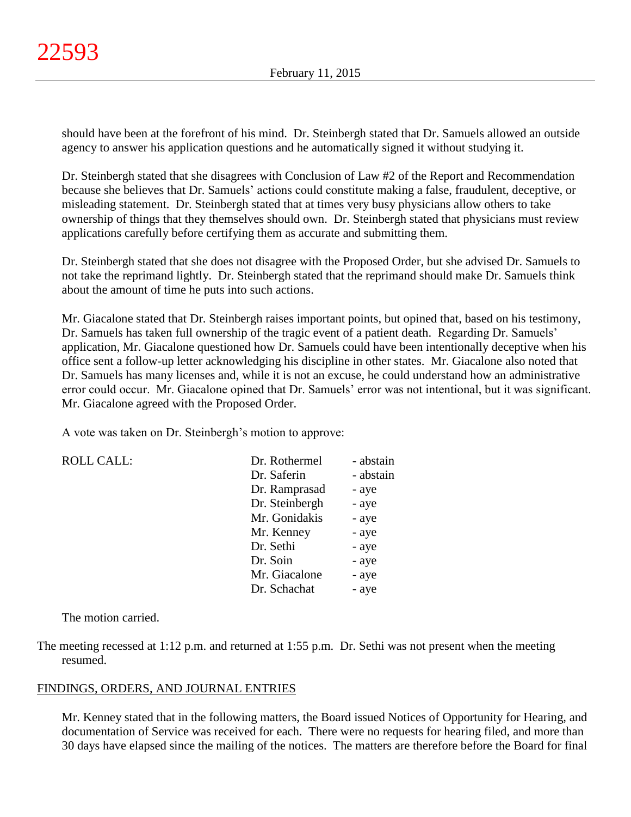should have been at the forefront of his mind. Dr. Steinbergh stated that Dr. Samuels allowed an outside agency to answer his application questions and he automatically signed it without studying it.

Dr. Steinbergh stated that she disagrees with Conclusion of Law #2 of the Report and Recommendation because she believes that Dr. Samuels' actions could constitute making a false, fraudulent, deceptive, or misleading statement. Dr. Steinbergh stated that at times very busy physicians allow others to take ownership of things that they themselves should own. Dr. Steinbergh stated that physicians must review applications carefully before certifying them as accurate and submitting them.

Dr. Steinbergh stated that she does not disagree with the Proposed Order, but she advised Dr. Samuels to not take the reprimand lightly. Dr. Steinbergh stated that the reprimand should make Dr. Samuels think about the amount of time he puts into such actions.

Mr. Giacalone stated that Dr. Steinbergh raises important points, but opined that, based on his testimony, Dr. Samuels has taken full ownership of the tragic event of a patient death. Regarding Dr. Samuels' application, Mr. Giacalone questioned how Dr. Samuels could have been intentionally deceptive when his office sent a follow-up letter acknowledging his discipline in other states. Mr. Giacalone also noted that Dr. Samuels has many licenses and, while it is not an excuse, he could understand how an administrative error could occur. Mr. Giacalone opined that Dr. Samuels' error was not intentional, but it was significant. Mr. Giacalone agreed with the Proposed Order.

A vote was taken on Dr. Steinbergh's motion to approve:

| <b>ROLL CALL:</b> | Dr. Rothermel  | - abstain |
|-------------------|----------------|-----------|
|                   | Dr. Saferin    | - abstain |
|                   | Dr. Ramprasad  | - aye     |
|                   | Dr. Steinbergh | - aye     |
|                   | Mr. Gonidakis  | - aye     |
|                   | Mr. Kenney     | - aye     |
|                   | Dr. Sethi      | - aye     |
|                   | Dr. Soin       | - aye     |
|                   | Mr. Giacalone  | - aye     |
|                   | Dr. Schachat   | - aye     |

The motion carried.

The meeting recessed at 1:12 p.m. and returned at 1:55 p.m. Dr. Sethi was not present when the meeting resumed.

# FINDINGS, ORDERS, AND JOURNAL ENTRIES

Mr. Kenney stated that in the following matters, the Board issued Notices of Opportunity for Hearing, and documentation of Service was received for each. There were no requests for hearing filed, and more than 30 days have elapsed since the mailing of the notices. The matters are therefore before the Board for final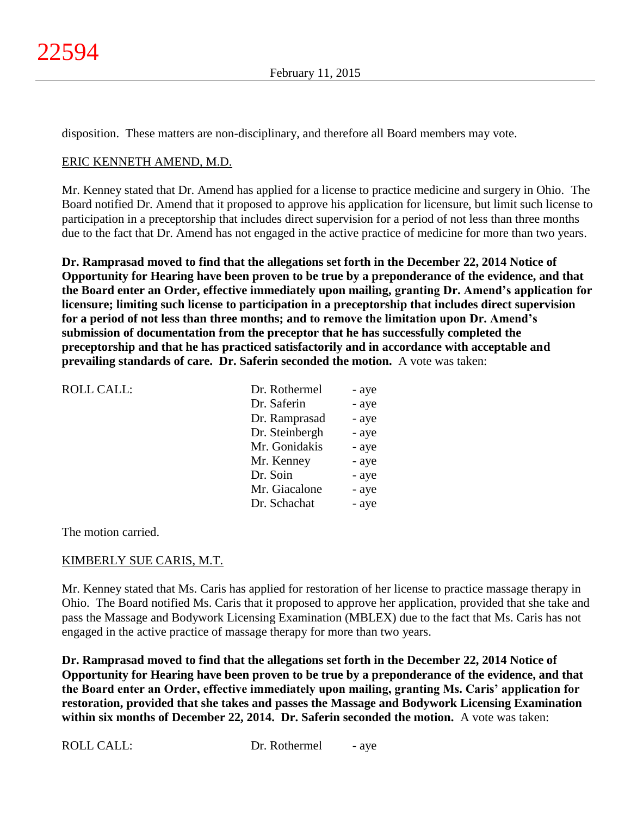disposition. These matters are non-disciplinary, and therefore all Board members may vote.

## ERIC KENNETH AMEND, M.D.

Mr. Kenney stated that Dr. Amend has applied for a license to practice medicine and surgery in Ohio. The Board notified Dr. Amend that it proposed to approve his application for licensure, but limit such license to participation in a preceptorship that includes direct supervision for a period of not less than three months due to the fact that Dr. Amend has not engaged in the active practice of medicine for more than two years.

**Dr. Ramprasad moved to find that the allegations set forth in the December 22, 2014 Notice of Opportunity for Hearing have been proven to be true by a preponderance of the evidence, and that the Board enter an Order, effective immediately upon mailing, granting Dr. Amend's application for licensure; limiting such license to participation in a preceptorship that includes direct supervision for a period of not less than three months; and to remove the limitation upon Dr. Amend's submission of documentation from the preceptor that he has successfully completed the preceptorship and that he has practiced satisfactorily and in accordance with acceptable and prevailing standards of care. Dr. Saferin seconded the motion.** A vote was taken:

| <b>ROLL CALL:</b> | Dr. Rothermel  | - aye |
|-------------------|----------------|-------|
|                   | Dr. Saferin    | - aye |
|                   | Dr. Ramprasad  | - aye |
|                   | Dr. Steinbergh | - aye |
|                   | Mr. Gonidakis  | - aye |
|                   | Mr. Kenney     | - aye |
|                   | Dr. Soin       | - aye |
|                   | Mr. Giacalone  | - aye |
|                   | Dr. Schachat   | - aye |
|                   |                |       |

The motion carried.

### KIMBERLY SUE CARIS, M.T.

Mr. Kenney stated that Ms. Caris has applied for restoration of her license to practice massage therapy in Ohio. The Board notified Ms. Caris that it proposed to approve her application, provided that she take and pass the Massage and Bodywork Licensing Examination (MBLEX) due to the fact that Ms. Caris has not engaged in the active practice of massage therapy for more than two years.

**Dr. Ramprasad moved to find that the allegations set forth in the December 22, 2014 Notice of Opportunity for Hearing have been proven to be true by a preponderance of the evidence, and that the Board enter an Order, effective immediately upon mailing, granting Ms. Caris' application for restoration, provided that she takes and passes the Massage and Bodywork Licensing Examination within six months of December 22, 2014. Dr. Saferin seconded the motion.** A vote was taken: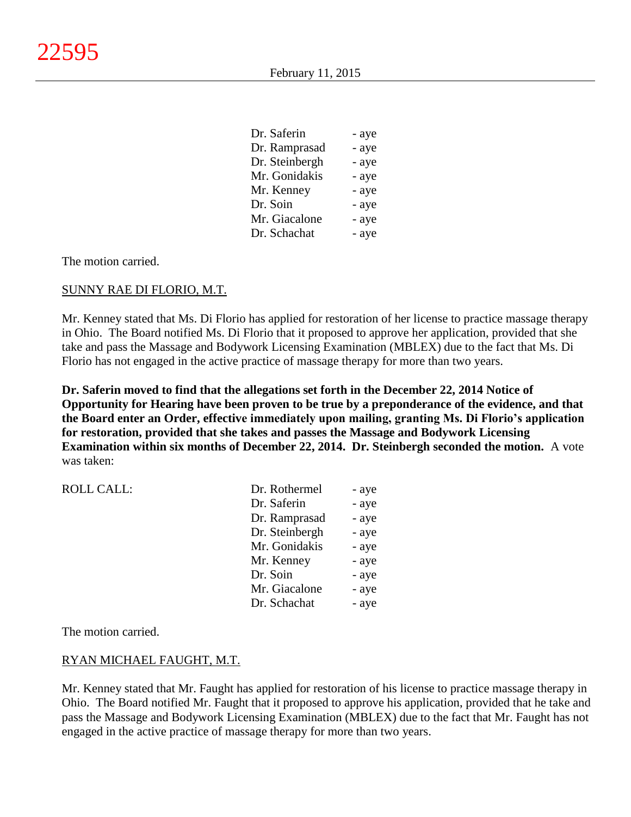| - aye |
|-------|
| - aye |
| - aye |
| - aye |
| - aye |
| - aye |
| - aye |
| - aye |
|       |

The motion carried.

#### SUNNY RAE DI FLORIO, M.T.

Mr. Kenney stated that Ms. Di Florio has applied for restoration of her license to practice massage therapy in Ohio. The Board notified Ms. Di Florio that it proposed to approve her application, provided that she take and pass the Massage and Bodywork Licensing Examination (MBLEX) due to the fact that Ms. Di Florio has not engaged in the active practice of massage therapy for more than two years.

**Dr. Saferin moved to find that the allegations set forth in the December 22, 2014 Notice of Opportunity for Hearing have been proven to be true by a preponderance of the evidence, and that the Board enter an Order, effective immediately upon mailing, granting Ms. Di Florio's application for restoration, provided that she takes and passes the Massage and Bodywork Licensing Examination within six months of December 22, 2014. Dr. Steinbergh seconded the motion.** A vote was taken:

| <b>ROLL CALL:</b> | Dr. Rothermel  | - aye |
|-------------------|----------------|-------|
|                   | Dr. Saferin    | - aye |
|                   | Dr. Ramprasad  | - aye |
|                   | Dr. Steinbergh | - aye |
|                   | Mr. Gonidakis  | - aye |
|                   | Mr. Kenney     | - aye |
|                   | Dr. Soin       | - aye |
|                   | Mr. Giacalone  | - aye |
|                   | Dr. Schachat   | - aye |

The motion carried.

#### RYAN MICHAEL FAUGHT, M.T.

Mr. Kenney stated that Mr. Faught has applied for restoration of his license to practice massage therapy in Ohio. The Board notified Mr. Faught that it proposed to approve his application, provided that he take and pass the Massage and Bodywork Licensing Examination (MBLEX) due to the fact that Mr. Faught has not engaged in the active practice of massage therapy for more than two years.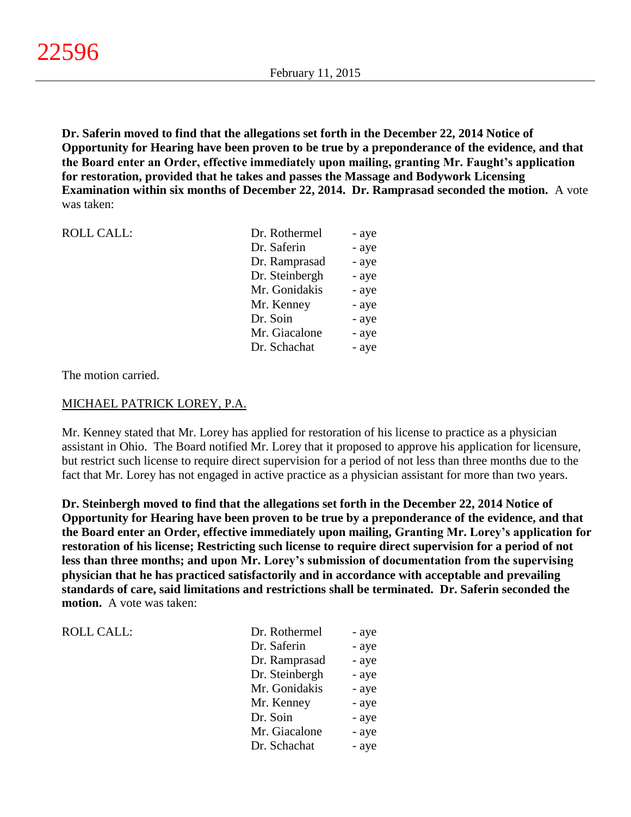**Dr. Saferin moved to find that the allegations set forth in the December 22, 2014 Notice of Opportunity for Hearing have been proven to be true by a preponderance of the evidence, and that the Board enter an Order, effective immediately upon mailing, granting Mr. Faught's application for restoration, provided that he takes and passes the Massage and Bodywork Licensing Examination within six months of December 22, 2014. Dr. Ramprasad seconded the motion.** A vote was taken:

| <b>ROLL CALL:</b> | Dr. Rothermel  | - aye |
|-------------------|----------------|-------|
|                   | Dr. Saferin    | - aye |
|                   | Dr. Ramprasad  | - aye |
|                   | Dr. Steinbergh | - aye |
|                   | Mr. Gonidakis  | - aye |
|                   | Mr. Kenney     | - aye |
|                   | Dr. Soin       | - aye |
|                   | Mr. Giacalone  | - aye |
|                   | Dr. Schachat   | - aye |
|                   |                |       |

The motion carried.

ROLL CALL:

## MICHAEL PATRICK LOREY, P.A.

Mr. Kenney stated that Mr. Lorey has applied for restoration of his license to practice as a physician assistant in Ohio. The Board notified Mr. Lorey that it proposed to approve his application for licensure, but restrict such license to require direct supervision for a period of not less than three months due to the fact that Mr. Lorey has not engaged in active practice as a physician assistant for more than two years.

**Dr. Steinbergh moved to find that the allegations set forth in the December 22, 2014 Notice of Opportunity for Hearing have been proven to be true by a preponderance of the evidence, and that the Board enter an Order, effective immediately upon mailing, Granting Mr. Lorey's application for restoration of his license; Restricting such license to require direct supervision for a period of not less than three months; and upon Mr. Lorey's submission of documentation from the supervising physician that he has practiced satisfactorily and in accordance with acceptable and prevailing standards of care, said limitations and restrictions shall be terminated. Dr. Saferin seconded the motion.** A vote was taken:

| Dr. Rothermel  | - aye |
|----------------|-------|
| Dr. Saferin    | - aye |
| Dr. Ramprasad  | - aye |
| Dr. Steinbergh | - aye |
| Mr. Gonidakis  | - aye |
| Mr. Kenney     | - aye |
| Dr. Soin       | - aye |
| Mr. Giacalone  | - aye |
| Dr. Schachat   | - aye |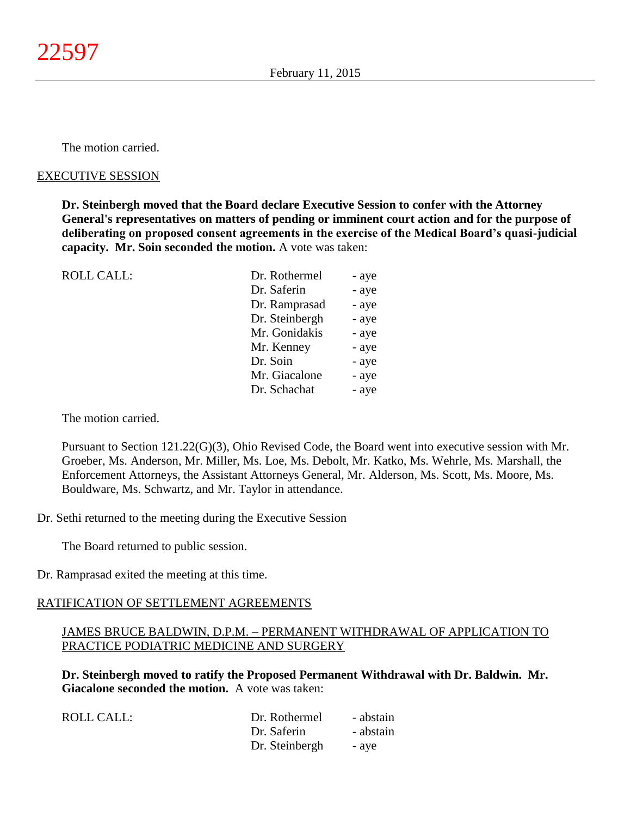The motion carried.

### EXECUTIVE SESSION

**Dr. Steinbergh moved that the Board declare Executive Session to confer with the Attorney General's representatives on matters of pending or imminent court action and for the purpose of deliberating on proposed consent agreements in the exercise of the Medical Board's quasi-judicial capacity. Mr. Soin seconded the motion.** A vote was taken:

| <b>ROLL CALL:</b> | Dr. Rothermel  | - aye |
|-------------------|----------------|-------|
|                   | Dr. Saferin    | - aye |
|                   | Dr. Ramprasad  | - aye |
|                   | Dr. Steinbergh | - aye |
|                   | Mr. Gonidakis  | - aye |
|                   | Mr. Kenney     | - aye |
|                   | Dr. Soin       | - aye |
|                   | Mr. Giacalone  | - aye |
|                   | Dr. Schachat   | - aye |
|                   |                |       |

The motion carried.

Pursuant to Section 121.22(G)(3), Ohio Revised Code, the Board went into executive session with Mr. Groeber, Ms. Anderson, Mr. Miller, Ms. Loe, Ms. Debolt, Mr. Katko, Ms. Wehrle, Ms. Marshall, the Enforcement Attorneys, the Assistant Attorneys General, Mr. Alderson, Ms. Scott, Ms. Moore, Ms. Bouldware, Ms. Schwartz, and Mr. Taylor in attendance.

Dr. Sethi returned to the meeting during the Executive Session

The Board returned to public session.

Dr. Ramprasad exited the meeting at this time.

### RATIFICATION OF SETTLEMENT AGREEMENTS

## JAMES BRUCE BALDWIN, D.P.M. – PERMANENT WITHDRAWAL OF APPLICATION TO PRACTICE PODIATRIC MEDICINE AND SURGERY

**Dr. Steinbergh moved to ratify the Proposed Permanent Withdrawal with Dr. Baldwin. Mr. Giacalone seconded the motion.** A vote was taken:

| ROLL CALL: | Dr. Rothermel  | - abstain |
|------------|----------------|-----------|
|            | Dr. Saferin    | - abstain |
|            | Dr. Steinbergh | - ave     |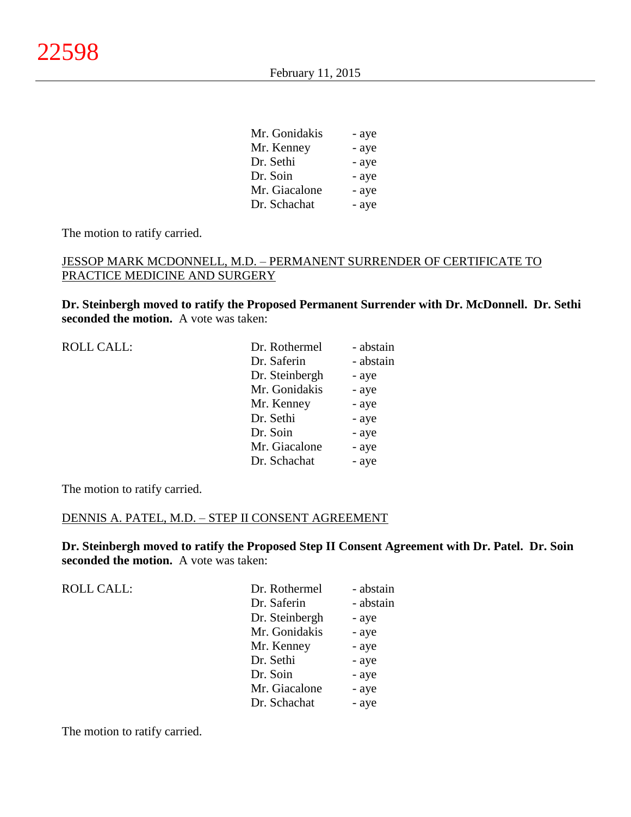| Mr. Gonidakis | - aye |
|---------------|-------|
| Mr. Kenney    | - aye |
| Dr. Sethi     | - aye |
| Dr. Soin      | - aye |
| Mr. Giacalone | - aye |
| Dr. Schachat  | - aye |

The motion to ratify carried.

## JESSOP MARK MCDONNELL, M.D. – PERMANENT SURRENDER OF CERTIFICATE TO PRACTICE MEDICINE AND SURGERY

**Dr. Steinbergh moved to ratify the Proposed Permanent Surrender with Dr. McDonnell. Dr. Sethi seconded the motion.** A vote was taken:

| <b>ROLL CALL:</b> |  |
|-------------------|--|
|-------------------|--|

| <b>ROLL CALL:</b> | Dr. Rothermel  | - abstain |
|-------------------|----------------|-----------|
|                   | Dr. Saferin    | - abstain |
|                   | Dr. Steinbergh | - aye     |
|                   | Mr. Gonidakis  | - aye     |
|                   | Mr. Kenney     | - aye     |
|                   | Dr. Sethi      | - aye     |
|                   | Dr. Soin       | - aye     |
|                   | Mr. Giacalone  | - aye     |
|                   | Dr. Schachat   | - aye     |
|                   |                |           |

The motion to ratify carried.

### DENNIS A. PATEL, M.D. – STEP II CONSENT AGREEMENT

**Dr. Steinbergh moved to ratify the Proposed Step II Consent Agreement with Dr. Patel. Dr. Soin seconded the motion.** A vote was taken:

| <b>ROLL CALL:</b> | Dr. Rothermel  | - abstain |
|-------------------|----------------|-----------|
|                   | Dr. Saferin    | - abstain |
|                   | Dr. Steinbergh | - aye     |
|                   | Mr. Gonidakis  | - aye     |
|                   | Mr. Kenney     | - aye     |
|                   | Dr. Sethi      | - aye     |
|                   | Dr. Soin       | - aye     |
|                   | Mr. Giacalone  | - aye     |
|                   | Dr. Schachat   | - aye     |

The motion to ratify carried.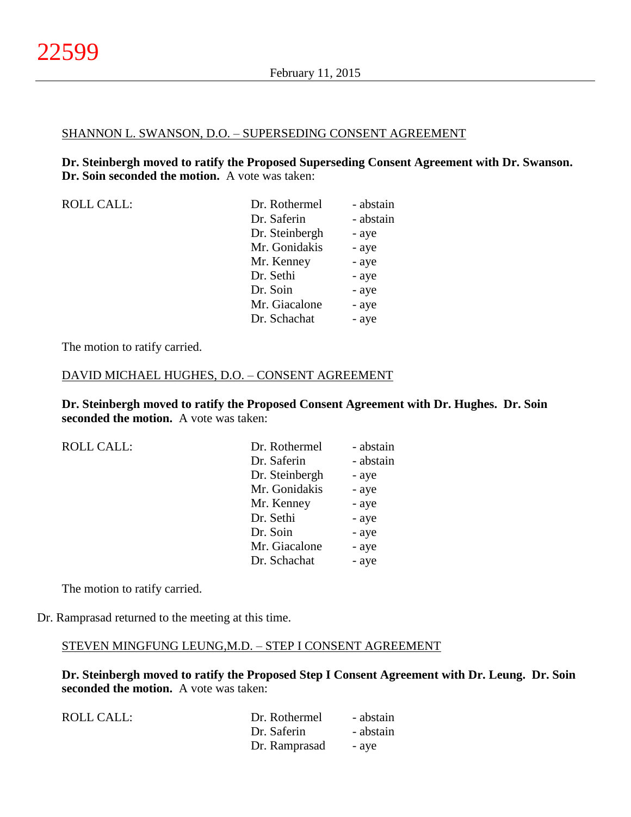#### SHANNON L. SWANSON, D.O. – SUPERSEDING CONSENT AGREEMENT

**Dr. Steinbergh moved to ratify the Proposed Superseding Consent Agreement with Dr. Swanson. Dr. Soin seconded the motion.** A vote was taken:

| <b>ROLL CALL:</b> |  |
|-------------------|--|
|-------------------|--|

| <b>ROLL CALL:</b> | Dr. Rothermel  | - abstain |
|-------------------|----------------|-----------|
|                   | Dr. Saferin    | - abstain |
|                   | Dr. Steinbergh | - aye     |
|                   | Mr. Gonidakis  | - aye     |
|                   | Mr. Kenney     | - aye     |
|                   | Dr. Sethi      | - aye     |
|                   | Dr. Soin       | - aye     |
|                   | Mr. Giacalone  | - aye     |
|                   | Dr. Schachat   | - aye     |
|                   |                |           |

The motion to ratify carried.

#### DAVID MICHAEL HUGHES, D.O. – CONSENT AGREEMENT

**Dr. Steinbergh moved to ratify the Proposed Consent Agreement with Dr. Hughes. Dr. Soin seconded the motion.** A vote was taken:

| <b>ROLL CALL:</b> | Dr. Rothermel  | - abstain |
|-------------------|----------------|-----------|
|                   | Dr. Saferin    | - abstain |
|                   | Dr. Steinbergh | - aye     |
|                   | Mr. Gonidakis  | - aye     |
|                   | Mr. Kenney     | - aye     |
|                   | Dr. Sethi      | - aye     |
|                   | Dr. Soin       | - aye     |
|                   | Mr. Giacalone  | - aye     |
|                   | Dr. Schachat   | - aye     |
|                   |                |           |

The motion to ratify carried.

Dr. Ramprasad returned to the meeting at this time.

#### STEVEN MINGFUNG LEUNG,M.D. – STEP I CONSENT AGREEMENT

**Dr. Steinbergh moved to ratify the Proposed Step I Consent Agreement with Dr. Leung. Dr. Soin seconded the motion.** A vote was taken:

| ROLL CALL: | Dr. Rothermel | - abstain |
|------------|---------------|-----------|
|            | Dr. Saferin   | - abstain |
|            | Dr. Ramprasad | - ave     |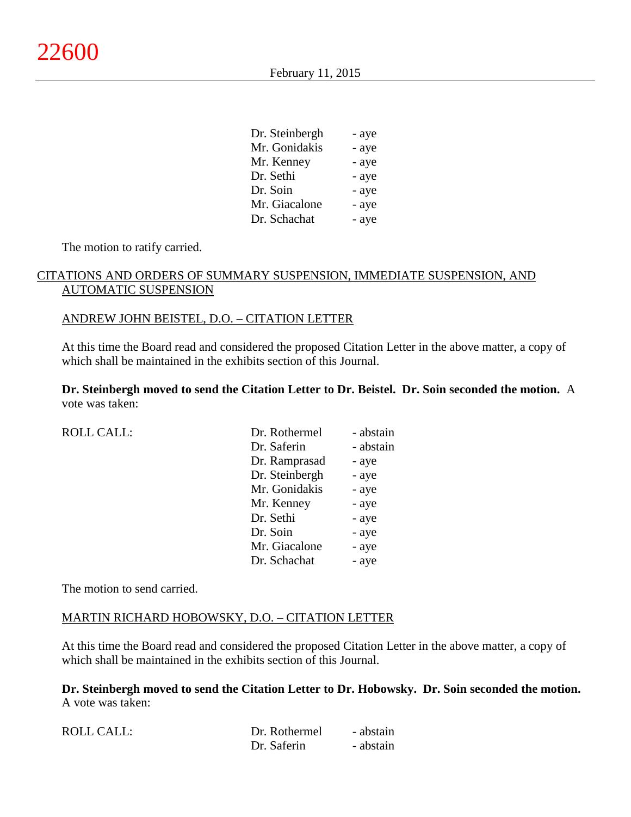February 11, 2015

| Dr. Steinbergh | - aye |
|----------------|-------|
| Mr. Gonidakis  | - aye |
| Mr. Kenney     | - aye |
| Dr. Sethi      | - aye |
| Dr. Soin       | - aye |
| Mr. Giacalone  | - aye |
| Dr. Schachat   | - aye |

The motion to ratify carried.

## CITATIONS AND ORDERS OF SUMMARY SUSPENSION, IMMEDIATE SUSPENSION, AND AUTOMATIC SUSPENSION

### ANDREW JOHN BEISTEL, D.O. – CITATION LETTER

At this time the Board read and considered the proposed Citation Letter in the above matter, a copy of which shall be maintained in the exhibits section of this Journal.

**Dr. Steinbergh moved to send the Citation Letter to Dr. Beistel. Dr. Soin seconded the motion.** A vote was taken:

| <b>ROLL CALL:</b> | Dr. Rothermel  | - abstain |
|-------------------|----------------|-----------|
|                   | Dr. Saferin    | - abstain |
|                   | Dr. Ramprasad  | - aye     |
|                   | Dr. Steinbergh | - aye     |
|                   | Mr. Gonidakis  | - aye     |
|                   | Mr. Kenney     | - aye     |
|                   | Dr. Sethi      | - aye     |
|                   | Dr. Soin       | - aye     |
|                   | Mr. Giacalone  | - aye     |
|                   | Dr. Schachat   | - aye     |
|                   |                |           |

The motion to send carried.

### MARTIN RICHARD HOBOWSKY, D.O. – CITATION LETTER

At this time the Board read and considered the proposed Citation Letter in the above matter, a copy of which shall be maintained in the exhibits section of this Journal.

**Dr. Steinbergh moved to send the Citation Letter to Dr. Hobowsky. Dr. Soin seconded the motion.** A vote was taken:

| <b>ROLL CALL:</b> | Dr. Rothermel | - abstain |
|-------------------|---------------|-----------|
|                   | Dr. Saferin   | - abstain |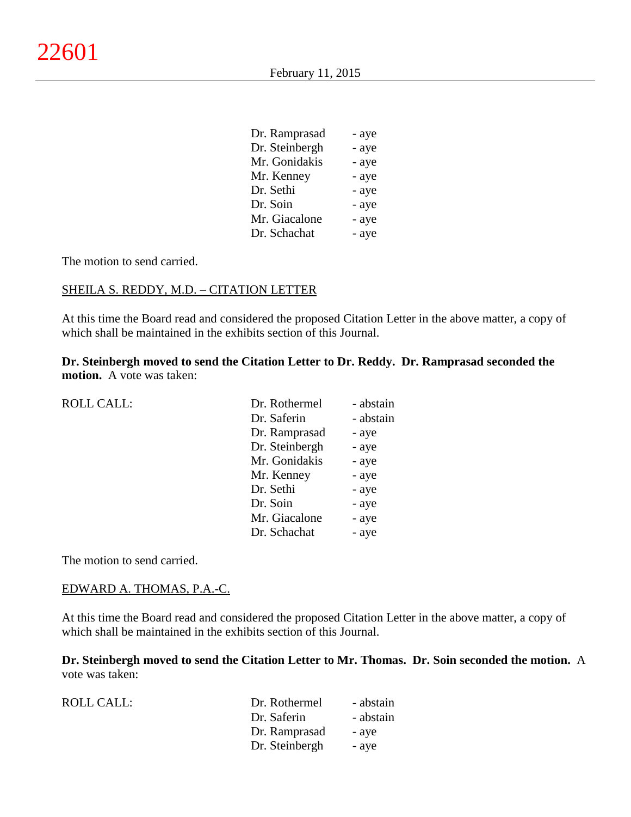| Dr. Ramprasad  | - aye |
|----------------|-------|
| Dr. Steinbergh | - aye |
| Mr. Gonidakis  | - aye |
| Mr. Kenney     | - aye |
| Dr. Sethi      | - aye |
| Dr. Soin       | - aye |
| Mr. Giacalone  | - aye |
| Dr. Schachat   | - aye |

The motion to send carried.

## SHEILA S. REDDY, M.D. – CITATION LETTER

At this time the Board read and considered the proposed Citation Letter in the above matter, a copy of which shall be maintained in the exhibits section of this Journal.

## **Dr. Steinbergh moved to send the Citation Letter to Dr. Reddy. Dr. Ramprasad seconded the motion.** A vote was taken:

| <b>ROLL CALL:</b> | Dr. Rothermel  | - abstain |
|-------------------|----------------|-----------|
|                   | Dr. Saferin    | - abstain |
|                   | Dr. Ramprasad  | - aye     |
|                   | Dr. Steinbergh | - aye     |
|                   | Mr. Gonidakis  | - aye     |
|                   | Mr. Kenney     | - aye     |
|                   | Dr. Sethi      | - aye     |
|                   | Dr. Soin       | - aye     |
|                   | Mr. Giacalone  | - aye     |
|                   | Dr. Schachat   | - aye     |
|                   |                |           |

The motion to send carried.

#### EDWARD A. THOMAS, P.A.-C.

At this time the Board read and considered the proposed Citation Letter in the above matter, a copy of which shall be maintained in the exhibits section of this Journal.

**Dr. Steinbergh moved to send the Citation Letter to Mr. Thomas. Dr. Soin seconded the motion.** A vote was taken:

| ROLL CALL: | Dr. Rothermel  | - abstain |
|------------|----------------|-----------|
|            | Dr. Saferin    | - abstain |
|            | Dr. Ramprasad  | - ave     |
|            | Dr. Steinbergh | - aye     |
|            |                |           |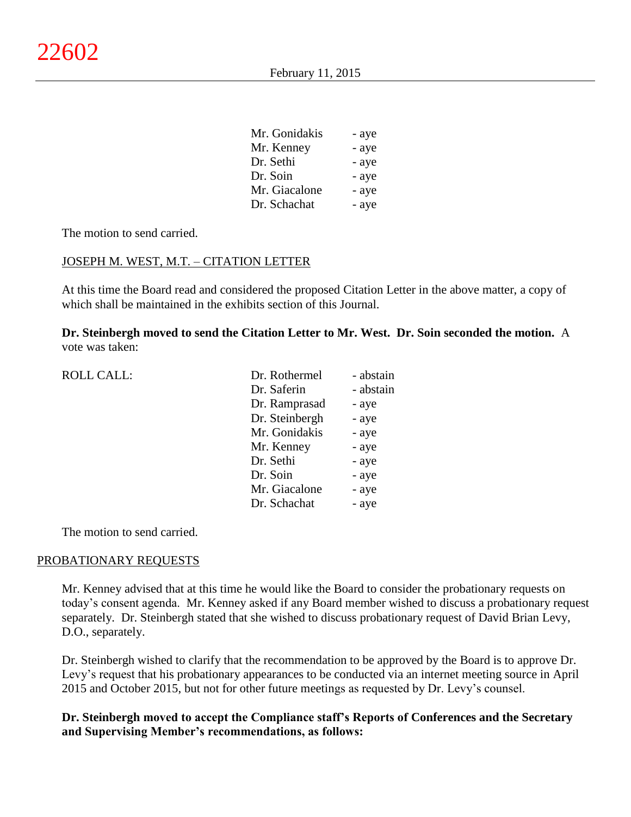| Mr. Gonidakis | - aye |
|---------------|-------|
| Mr. Kenney    | - aye |
| Dr. Sethi     | - aye |
| Dr. Soin      | - aye |
| Mr. Giacalone | - aye |
| Dr. Schachat  | - aye |

 $\overline{a}$  - and a set of  $\overline{a}$ 

The motion to send carried.

### JOSEPH M. WEST, M.T. – CITATION LETTER

At this time the Board read and considered the proposed Citation Letter in the above matter, a copy of which shall be maintained in the exhibits section of this Journal.

**Dr. Steinbergh moved to send the Citation Letter to Mr. West. Dr. Soin seconded the motion.** A vote was taken:

| <b>ROLL CALL:</b> | Dr. Rothermel  | - abstain |
|-------------------|----------------|-----------|
|                   | Dr. Saferin    | - abstain |
|                   | Dr. Ramprasad  | - aye     |
|                   | Dr. Steinbergh | - aye     |
|                   | Mr. Gonidakis  | - aye     |
|                   | Mr. Kenney     | - aye     |
|                   | Dr. Sethi      | - aye     |
|                   | Dr. Soin       | - aye     |
|                   | Mr. Giacalone  | - aye     |
|                   | Dr. Schachat   | - aye     |
|                   |                |           |

The motion to send carried.

#### PROBATIONARY REQUESTS

Mr. Kenney advised that at this time he would like the Board to consider the probationary requests on today's consent agenda. Mr. Kenney asked if any Board member wished to discuss a probationary request separately. Dr. Steinbergh stated that she wished to discuss probationary request of David Brian Levy, D.O., separately.

Dr. Steinbergh wished to clarify that the recommendation to be approved by the Board is to approve Dr. Levy's request that his probationary appearances to be conducted via an internet meeting source in April 2015 and October 2015, but not for other future meetings as requested by Dr. Levy's counsel.

## **Dr. Steinbergh moved to accept the Compliance staff's Reports of Conferences and the Secretary and Supervising Member's recommendations, as follows:**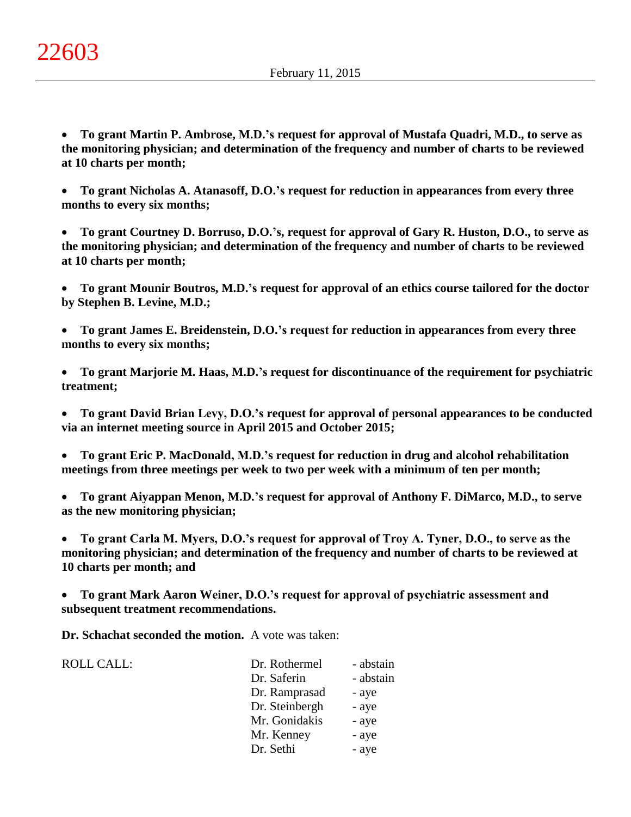**To grant Martin P. Ambrose, M.D.'s request for approval of Mustafa Quadri, M.D., to serve as the monitoring physician; and determination of the frequency and number of charts to be reviewed at 10 charts per month;**

 **To grant Nicholas A. Atanasoff, D.O.'s request for reduction in appearances from every three months to every six months;**

 **To grant Courtney D. Borruso, D.O.'s, request for approval of Gary R. Huston, D.O., to serve as the monitoring physician; and determination of the frequency and number of charts to be reviewed at 10 charts per month;**

 **To grant Mounir Boutros, M.D.'s request for approval of an ethics course tailored for the doctor by Stephen B. Levine, M.D.;**

 **To grant James E. Breidenstein, D.O.'s request for reduction in appearances from every three months to every six months;**

 **To grant Marjorie M. Haas, M.D.'s request for discontinuance of the requirement for psychiatric treatment;**

 **To grant David Brian Levy, D.O.'s request for approval of personal appearances to be conducted via an internet meeting source in April 2015 and October 2015;**

 **To grant Eric P. MacDonald, M.D.'s request for reduction in drug and alcohol rehabilitation meetings from three meetings per week to two per week with a minimum of ten per month;**

 **To grant Aiyappan Menon, M.D.'s request for approval of Anthony F. DiMarco, M.D., to serve as the new monitoring physician;**

 **To grant Carla M. Myers, D.O.'s request for approval of Troy A. Tyner, D.O., to serve as the monitoring physician; and determination of the frequency and number of charts to be reviewed at 10 charts per month; and**

 **To grant Mark Aaron Weiner, D.O.'s request for approval of psychiatric assessment and subsequent treatment recommendations.**

**Dr. Schachat seconded the motion.** A vote was taken:

ROLL CALL:

| Dr. Rothermel  | - abstain |
|----------------|-----------|
| Dr. Saferin    | - abstain |
| Dr. Ramprasad  | - aye     |
| Dr. Steinbergh | - aye     |
| Mr. Gonidakis  | - aye     |
| Mr. Kenney     | - aye     |
| Dr. Sethi      | - aye     |
|                |           |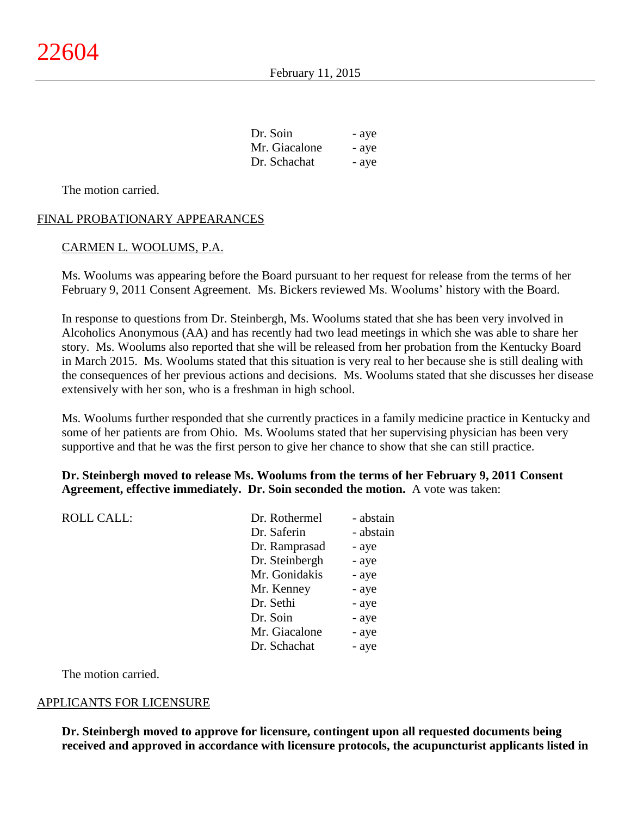| Dr. Soin      | - aye |
|---------------|-------|
| Mr. Giacalone | - aye |
| Dr. Schachat  | - aye |

The motion carried.

### FINAL PROBATIONARY APPEARANCES

### CARMEN L. WOOLUMS, P.A.

Ms. Woolums was appearing before the Board pursuant to her request for release from the terms of her February 9, 2011 Consent Agreement. Ms. Bickers reviewed Ms. Woolums' history with the Board.

In response to questions from Dr. Steinbergh, Ms. Woolums stated that she has been very involved in Alcoholics Anonymous (AA) and has recently had two lead meetings in which she was able to share her story. Ms. Woolums also reported that she will be released from her probation from the Kentucky Board in March 2015. Ms. Woolums stated that this situation is very real to her because she is still dealing with the consequences of her previous actions and decisions. Ms. Woolums stated that she discusses her disease extensively with her son, who is a freshman in high school.

Ms. Woolums further responded that she currently practices in a family medicine practice in Kentucky and some of her patients are from Ohio. Ms. Woolums stated that her supervising physician has been very supportive and that he was the first person to give her chance to show that she can still practice.

### **Dr. Steinbergh moved to release Ms. Woolums from the terms of her February 9, 2011 Consent Agreement, effective immediately. Dr. Soin seconded the motion.** A vote was taken:

| <b>ROLL CALL:</b> | Dr. Rothermel  | - abstain |
|-------------------|----------------|-----------|
|                   | Dr. Saferin    | - abstain |
|                   | Dr. Ramprasad  | - aye     |
|                   | Dr. Steinbergh | - aye     |
|                   | Mr. Gonidakis  | - aye     |
|                   | Mr. Kenney     | - aye     |
|                   | Dr. Sethi      | - aye     |
|                   | Dr. Soin       | - aye     |
|                   | Mr. Giacalone  | - aye     |
|                   | Dr. Schachat   | - aye     |
|                   |                |           |

The motion carried.

#### APPLICANTS FOR LICENSURE

**Dr. Steinbergh moved to approve for licensure, contingent upon all requested documents being received and approved in accordance with licensure protocols, the acupuncturist applicants listed in**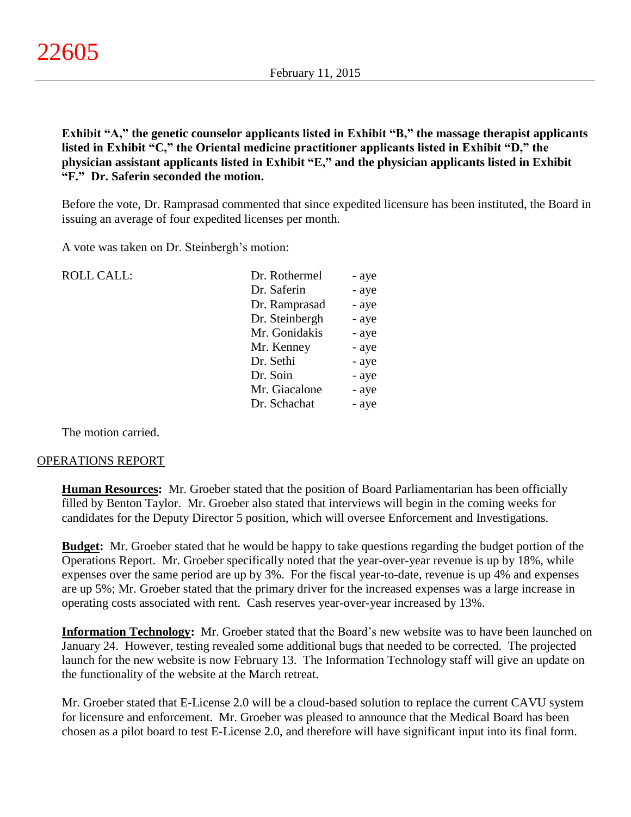**Exhibit "A," the genetic counselor applicants listed in Exhibit "B," the massage therapist applicants listed in Exhibit "C," the Oriental medicine practitioner applicants listed in Exhibit "D," the physician assistant applicants listed in Exhibit "E," and the physician applicants listed in Exhibit "F." Dr. Saferin seconded the motion.**

Before the vote, Dr. Ramprasad commented that since expedited licensure has been instituted, the Board in issuing an average of four expedited licenses per month.

A vote was taken on Dr. Steinbergh's motion:

| <b>ROLL CALL:</b> | Dr. Rothermel  | - aye |
|-------------------|----------------|-------|
|                   | Dr. Saferin    | - aye |
|                   | Dr. Ramprasad  | - aye |
|                   | Dr. Steinbergh | - aye |
|                   | Mr. Gonidakis  | - aye |
|                   | Mr. Kenney     | - aye |
|                   | Dr. Sethi      | - aye |
|                   | Dr. Soin       | - aye |
|                   | Mr. Giacalone  | - aye |
|                   | Dr. Schachat   | - aye |
|                   |                |       |

The motion carried.

#### OPERATIONS REPORT

**Human Resources:** Mr. Groeber stated that the position of Board Parliamentarian has been officially filled by Benton Taylor. Mr. Groeber also stated that interviews will begin in the coming weeks for candidates for the Deputy Director 5 position, which will oversee Enforcement and Investigations.

**Budget:** Mr. Groeber stated that he would be happy to take questions regarding the budget portion of the Operations Report. Mr. Groeber specifically noted that the year-over-year revenue is up by 18%, while expenses over the same period are up by 3%. For the fiscal year-to-date, revenue is up 4% and expenses are up 5%; Mr. Groeber stated that the primary driver for the increased expenses was a large increase in operating costs associated with rent. Cash reserves year-over-year increased by 13%.

**Information Technology:** Mr. Groeber stated that the Board's new website was to have been launched on January 24. However, testing revealed some additional bugs that needed to be corrected. The projected launch for the new website is now February 13. The Information Technology staff will give an update on the functionality of the website at the March retreat.

Mr. Groeber stated that E-License 2.0 will be a cloud-based solution to replace the current CAVU system for licensure and enforcement. Mr. Groeber was pleased to announce that the Medical Board has been chosen as a pilot board to test E-License 2.0, and therefore will have significant input into its final form.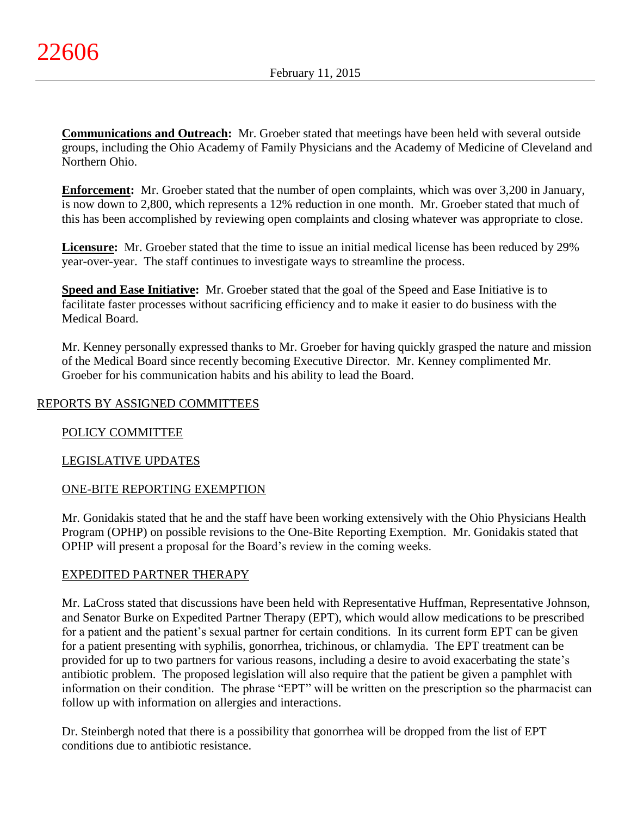**Communications and Outreach:** Mr. Groeber stated that meetings have been held with several outside groups, including the Ohio Academy of Family Physicians and the Academy of Medicine of Cleveland and Northern Ohio.

**Enforcement:** Mr. Groeber stated that the number of open complaints, which was over 3,200 in January, is now down to 2,800, which represents a 12% reduction in one month. Mr. Groeber stated that much of this has been accomplished by reviewing open complaints and closing whatever was appropriate to close.

**Licensure:** Mr. Groeber stated that the time to issue an initial medical license has been reduced by 29% year-over-year. The staff continues to investigate ways to streamline the process.

**Speed and Ease Initiative:** Mr. Groeber stated that the goal of the Speed and Ease Initiative is to facilitate faster processes without sacrificing efficiency and to make it easier to do business with the Medical Board.

Mr. Kenney personally expressed thanks to Mr. Groeber for having quickly grasped the nature and mission of the Medical Board since recently becoming Executive Director. Mr. Kenney complimented Mr. Groeber for his communication habits and his ability to lead the Board.

# REPORTS BY ASSIGNED COMMITTEES

# POLICY COMMITTEE

# LEGISLATIVE UPDATES

# ONE-BITE REPORTING EXEMPTION

Mr. Gonidakis stated that he and the staff have been working extensively with the Ohio Physicians Health Program (OPHP) on possible revisions to the One-Bite Reporting Exemption. Mr. Gonidakis stated that OPHP will present a proposal for the Board's review in the coming weeks.

### EXPEDITED PARTNER THERAPY

Mr. LaCross stated that discussions have been held with Representative Huffman, Representative Johnson, and Senator Burke on Expedited Partner Therapy (EPT), which would allow medications to be prescribed for a patient and the patient's sexual partner for certain conditions. In its current form EPT can be given for a patient presenting with syphilis, gonorrhea, trichinous, or chlamydia. The EPT treatment can be provided for up to two partners for various reasons, including a desire to avoid exacerbating the state's antibiotic problem. The proposed legislation will also require that the patient be given a pamphlet with information on their condition. The phrase "EPT" will be written on the prescription so the pharmacist can follow up with information on allergies and interactions.

Dr. Steinbergh noted that there is a possibility that gonorrhea will be dropped from the list of EPT conditions due to antibiotic resistance.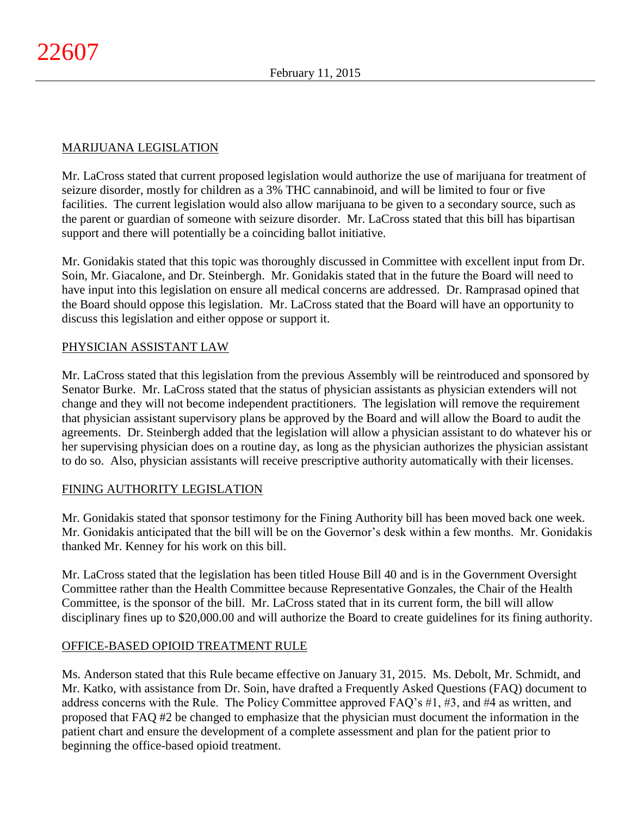# MARIJUANA LEGISLATION

Mr. LaCross stated that current proposed legislation would authorize the use of marijuana for treatment of seizure disorder, mostly for children as a 3% THC cannabinoid, and will be limited to four or five facilities. The current legislation would also allow marijuana to be given to a secondary source, such as the parent or guardian of someone with seizure disorder. Mr. LaCross stated that this bill has bipartisan support and there will potentially be a coinciding ballot initiative.

Mr. Gonidakis stated that this topic was thoroughly discussed in Committee with excellent input from Dr. Soin, Mr. Giacalone, and Dr. Steinbergh. Mr. Gonidakis stated that in the future the Board will need to have input into this legislation on ensure all medical concerns are addressed. Dr. Ramprasad opined that the Board should oppose this legislation. Mr. LaCross stated that the Board will have an opportunity to discuss this legislation and either oppose or support it.

## PHYSICIAN ASSISTANT LAW

Mr. LaCross stated that this legislation from the previous Assembly will be reintroduced and sponsored by Senator Burke. Mr. LaCross stated that the status of physician assistants as physician extenders will not change and they will not become independent practitioners. The legislation will remove the requirement that physician assistant supervisory plans be approved by the Board and will allow the Board to audit the agreements. Dr. Steinbergh added that the legislation will allow a physician assistant to do whatever his or her supervising physician does on a routine day, as long as the physician authorizes the physician assistant to do so. Also, physician assistants will receive prescriptive authority automatically with their licenses.

### FINING AUTHORITY LEGISLATION

Mr. Gonidakis stated that sponsor testimony for the Fining Authority bill has been moved back one week. Mr. Gonidakis anticipated that the bill will be on the Governor's desk within a few months. Mr. Gonidakis thanked Mr. Kenney for his work on this bill.

Mr. LaCross stated that the legislation has been titled House Bill 40 and is in the Government Oversight Committee rather than the Health Committee because Representative Gonzales, the Chair of the Health Committee, is the sponsor of the bill. Mr. LaCross stated that in its current form, the bill will allow disciplinary fines up to \$20,000.00 and will authorize the Board to create guidelines for its fining authority.

# OFFICE-BASED OPIOID TREATMENT RULE

Ms. Anderson stated that this Rule became effective on January 31, 2015. Ms. Debolt, Mr. Schmidt, and Mr. Katko, with assistance from Dr. Soin, have drafted a Frequently Asked Questions (FAQ) document to address concerns with the Rule. The Policy Committee approved FAQ's #1, #3, and #4 as written, and proposed that FAQ #2 be changed to emphasize that the physician must document the information in the patient chart and ensure the development of a complete assessment and plan for the patient prior to beginning the office-based opioid treatment.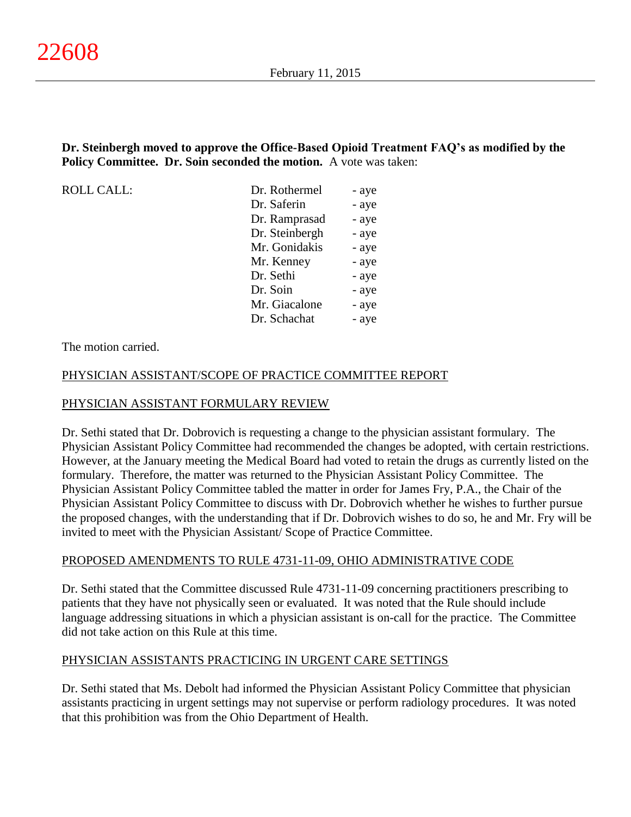## **Dr. Steinbergh moved to approve the Office-Based Opioid Treatment FAQ's as modified by the Policy Committee. Dr. Soin seconded the motion.** A vote was taken:

ROLL CALL:

| Dr. Rothermel  | - aye |
|----------------|-------|
| Dr. Saferin    | - aye |
| Dr. Ramprasad  | - aye |
| Dr. Steinbergh | - aye |
| Mr. Gonidakis  | - aye |
| Mr. Kenney     | - aye |
| Dr. Sethi      | - aye |
| Dr. Soin       | - aye |
| Mr. Giacalone  | - aye |
| Dr. Schachat   | - aye |

The motion carried.

## PHYSICIAN ASSISTANT/SCOPE OF PRACTICE COMMITTEE REPORT

## PHYSICIAN ASSISTANT FORMULARY REVIEW

Dr. Sethi stated that Dr. Dobrovich is requesting a change to the physician assistant formulary. The Physician Assistant Policy Committee had recommended the changes be adopted, with certain restrictions. However, at the January meeting the Medical Board had voted to retain the drugs as currently listed on the formulary. Therefore, the matter was returned to the Physician Assistant Policy Committee. The Physician Assistant Policy Committee tabled the matter in order for James Fry, P.A., the Chair of the Physician Assistant Policy Committee to discuss with Dr. Dobrovich whether he wishes to further pursue the proposed changes, with the understanding that if Dr. Dobrovich wishes to do so, he and Mr. Fry will be invited to meet with the Physician Assistant/ Scope of Practice Committee.

### PROPOSED AMENDMENTS TO RULE 4731-11-09, OHIO ADMINISTRATIVE CODE

Dr. Sethi stated that the Committee discussed Rule 4731-11-09 concerning practitioners prescribing to patients that they have not physically seen or evaluated. It was noted that the Rule should include language addressing situations in which a physician assistant is on-call for the practice. The Committee did not take action on this Rule at this time.

### PHYSICIAN ASSISTANTS PRACTICING IN URGENT CARE SETTINGS

Dr. Sethi stated that Ms. Debolt had informed the Physician Assistant Policy Committee that physician assistants practicing in urgent settings may not supervise or perform radiology procedures. It was noted that this prohibition was from the Ohio Department of Health.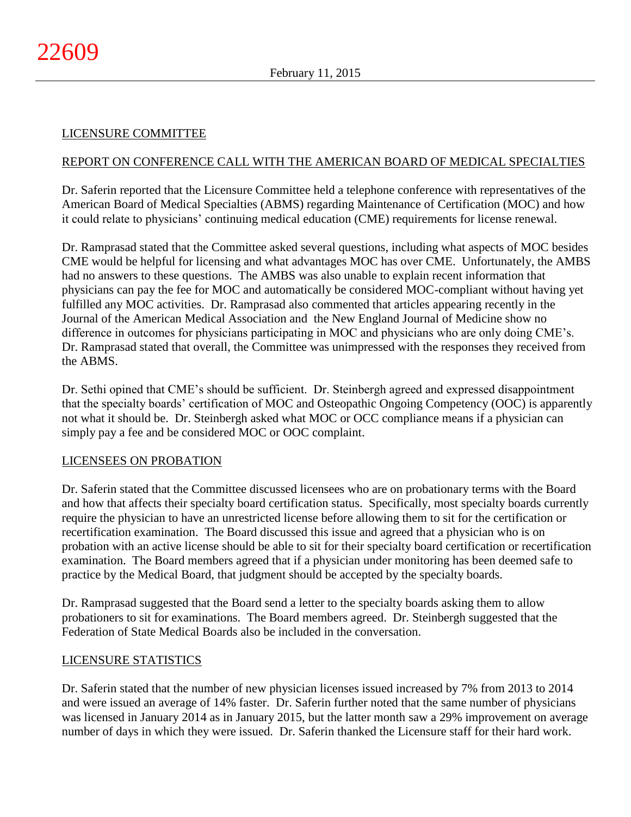### LICENSURE COMMITTEE

### REPORT ON CONFERENCE CALL WITH THE AMERICAN BOARD OF MEDICAL SPECIALTIES

Dr. Saferin reported that the Licensure Committee held a telephone conference with representatives of the American Board of Medical Specialties (ABMS) regarding Maintenance of Certification (MOC) and how it could relate to physicians' continuing medical education (CME) requirements for license renewal.

Dr. Ramprasad stated that the Committee asked several questions, including what aspects of MOC besides CME would be helpful for licensing and what advantages MOC has over CME. Unfortunately, the AMBS had no answers to these questions. The AMBS was also unable to explain recent information that physicians can pay the fee for MOC and automatically be considered MOC-compliant without having yet fulfilled any MOC activities. Dr. Ramprasad also commented that articles appearing recently in the Journal of the American Medical Association and the New England Journal of Medicine show no difference in outcomes for physicians participating in MOC and physicians who are only doing CME's. Dr. Ramprasad stated that overall, the Committee was unimpressed with the responses they received from the ABMS.

Dr. Sethi opined that CME's should be sufficient. Dr. Steinbergh agreed and expressed disappointment that the specialty boards' certification of MOC and Osteopathic Ongoing Competency (OOC) is apparently not what it should be. Dr. Steinbergh asked what MOC or OCC compliance means if a physician can simply pay a fee and be considered MOC or OOC complaint.

#### LICENSEES ON PROBATION

Dr. Saferin stated that the Committee discussed licensees who are on probationary terms with the Board and how that affects their specialty board certification status. Specifically, most specialty boards currently require the physician to have an unrestricted license before allowing them to sit for the certification or recertification examination. The Board discussed this issue and agreed that a physician who is on probation with an active license should be able to sit for their specialty board certification or recertification examination. The Board members agreed that if a physician under monitoring has been deemed safe to practice by the Medical Board, that judgment should be accepted by the specialty boards.

Dr. Ramprasad suggested that the Board send a letter to the specialty boards asking them to allow probationers to sit for examinations. The Board members agreed. Dr. Steinbergh suggested that the Federation of State Medical Boards also be included in the conversation.

#### LICENSURE STATISTICS

Dr. Saferin stated that the number of new physician licenses issued increased by 7% from 2013 to 2014 and were issued an average of 14% faster. Dr. Saferin further noted that the same number of physicians was licensed in January 2014 as in January 2015, but the latter month saw a 29% improvement on average number of days in which they were issued. Dr. Saferin thanked the Licensure staff for their hard work.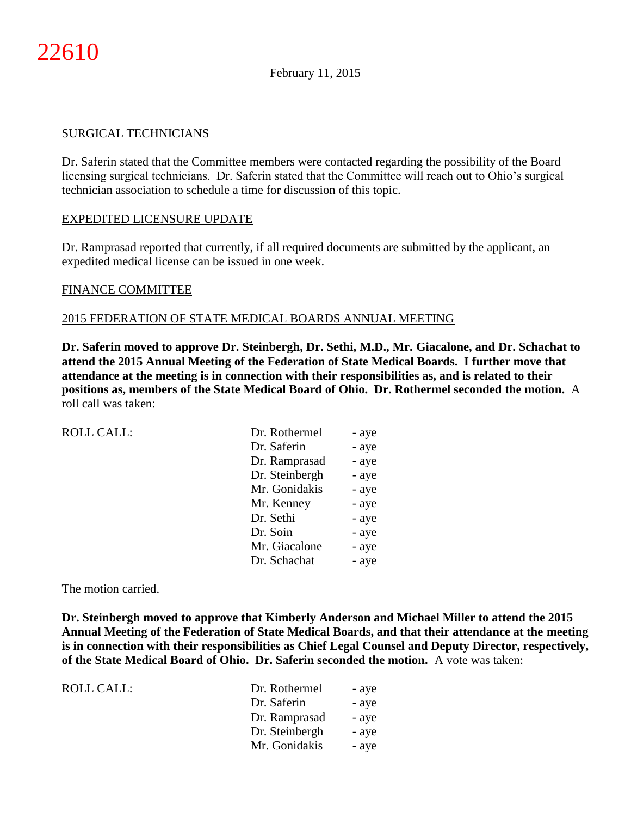#### SURGICAL TECHNICIANS

Dr. Saferin stated that the Committee members were contacted regarding the possibility of the Board licensing surgical technicians. Dr. Saferin stated that the Committee will reach out to Ohio's surgical technician association to schedule a time for discussion of this topic.

### EXPEDITED LICENSURE UPDATE

Dr. Ramprasad reported that currently, if all required documents are submitted by the applicant, an expedited medical license can be issued in one week.

### FINANCE COMMITTEE

### 2015 FEDERATION OF STATE MEDICAL BOARDS ANNUAL MEETING

**Dr. Saferin moved to approve Dr. Steinbergh, Dr. Sethi, M.D., Mr. Giacalone, and Dr. Schachat to attend the 2015 Annual Meeting of the Federation of State Medical Boards. I further move that attendance at the meeting is in connection with their responsibilities as, and is related to their positions as, members of the State Medical Board of Ohio. Dr. Rothermel seconded the motion.** A roll call was taken:

| <b>ROLL CALL:</b> | Dr. Rothermel  | - aye |
|-------------------|----------------|-------|
|                   | Dr. Saferin    | - aye |
|                   | Dr. Ramprasad  | - aye |
|                   | Dr. Steinbergh | - aye |
|                   | Mr. Gonidakis  | - aye |
|                   | Mr. Kenney     | - aye |
|                   | Dr. Sethi      | - aye |
|                   | Dr. Soin       | - aye |
|                   | Mr. Giacalone  | - aye |
|                   | Dr. Schachat   | - aye |

The motion carried.

**Dr. Steinbergh moved to approve that Kimberly Anderson and Michael Miller to attend the 2015 Annual Meeting of the Federation of State Medical Boards, and that their attendance at the meeting is in connection with their responsibilities as Chief Legal Counsel and Deputy Director, respectively, of the State Medical Board of Ohio. Dr. Saferin seconded the motion.** A vote was taken:

| Dr. Rothermel  | - aye |
|----------------|-------|
| Dr. Saferin    | - aye |
| Dr. Ramprasad  | - aye |
| Dr. Steinbergh | - ave |
| Mr. Gonidakis  | - aye |
|                |       |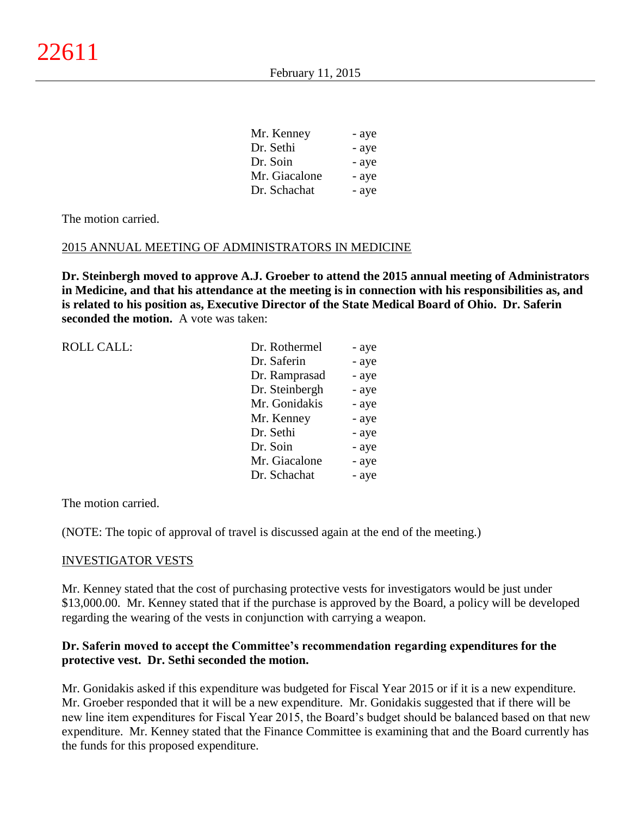| - aye |
|-------|
| - aye |
| - aye |
| - aye |
| - aye |
|       |

The motion carried.

### 2015 ANNUAL MEETING OF ADMINISTRATORS IN MEDICINE

**Dr. Steinbergh moved to approve A.J. Groeber to attend the 2015 annual meeting of Administrators in Medicine, and that his attendance at the meeting is in connection with his responsibilities as, and is related to his position as, Executive Director of the State Medical Board of Ohio. Dr. Saferin seconded the motion.** A vote was taken:

| <b>ROLL CALL:</b> | Dr. Rothermel  | - aye |
|-------------------|----------------|-------|
|                   | Dr. Saferin    | - aye |
|                   | Dr. Ramprasad  | - aye |
|                   | Dr. Steinbergh | - aye |
|                   | Mr. Gonidakis  | - aye |
|                   | Mr. Kenney     | - aye |
|                   | Dr. Sethi      | - aye |
|                   | Dr. Soin       | - aye |
|                   | Mr. Giacalone  | - aye |
|                   | Dr. Schachat   | - aye |
|                   |                |       |

The motion carried.

(NOTE: The topic of approval of travel is discussed again at the end of the meeting.)

#### INVESTIGATOR VESTS

Mr. Kenney stated that the cost of purchasing protective vests for investigators would be just under \$13,000.00. Mr. Kenney stated that if the purchase is approved by the Board, a policy will be developed regarding the wearing of the vests in conjunction with carrying a weapon.

## **Dr. Saferin moved to accept the Committee's recommendation regarding expenditures for the protective vest. Dr. Sethi seconded the motion.**

Mr. Gonidakis asked if this expenditure was budgeted for Fiscal Year 2015 or if it is a new expenditure. Mr. Groeber responded that it will be a new expenditure. Mr. Gonidakis suggested that if there will be new line item expenditures for Fiscal Year 2015, the Board's budget should be balanced based on that new expenditure. Mr. Kenney stated that the Finance Committee is examining that and the Board currently has the funds for this proposed expenditure.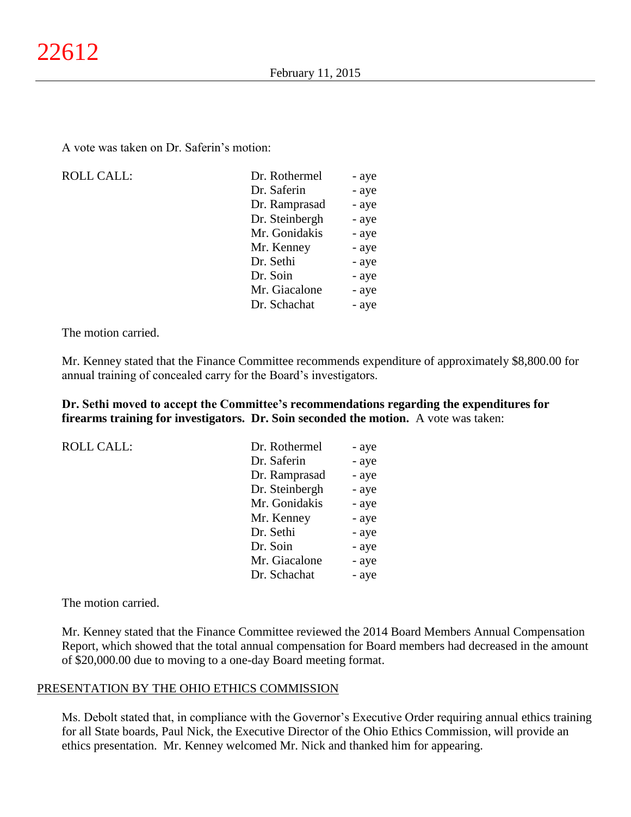A vote was taken on Dr. Saferin's motion:

ROLL CALL:

| Dr. Rothermel  | - aye |
|----------------|-------|
| Dr. Saferin    | - aye |
| Dr. Ramprasad  | - aye |
| Dr. Steinbergh | - aye |
| Mr. Gonidakis  | - aye |
| Mr. Kenney     | - aye |
| Dr. Sethi      | - aye |
| Dr. Soin       | - aye |
| Mr. Giacalone  | - aye |
| Dr. Schachat   | - aye |
|                |       |

The motion carried.

Mr. Kenney stated that the Finance Committee recommends expenditure of approximately \$8,800.00 for annual training of concealed carry for the Board's investigators.

**Dr. Sethi moved to accept the Committee's recommendations regarding the expenditures for firearms training for investigators. Dr. Soin seconded the motion.** A vote was taken:

ROLL CALL:

| Dr. Rothermel  | - aye |
|----------------|-------|
| Dr. Saferin    | - aye |
| Dr. Ramprasad  | - aye |
| Dr. Steinbergh | - aye |
| Mr. Gonidakis  | - aye |
| Mr. Kenney     | - aye |
| Dr. Sethi      | - aye |
| Dr. Soin       | - aye |
| Mr. Giacalone  | - aye |
| Dr. Schachat   | - aye |

The motion carried.

Mr. Kenney stated that the Finance Committee reviewed the 2014 Board Members Annual Compensation Report, which showed that the total annual compensation for Board members had decreased in the amount of \$20,000.00 due to moving to a one-day Board meeting format.

#### PRESENTATION BY THE OHIO ETHICS COMMISSION

Ms. Debolt stated that, in compliance with the Governor's Executive Order requiring annual ethics training for all State boards, Paul Nick, the Executive Director of the Ohio Ethics Commission, will provide an ethics presentation. Mr. Kenney welcomed Mr. Nick and thanked him for appearing.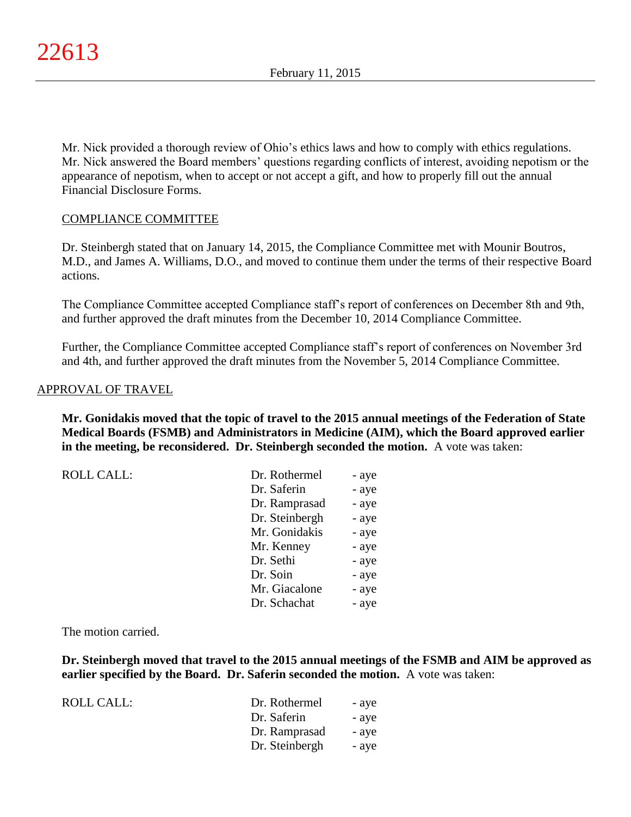Mr. Nick provided a thorough review of Ohio's ethics laws and how to comply with ethics regulations. Mr. Nick answered the Board members' questions regarding conflicts of interest, avoiding nepotism or the appearance of nepotism, when to accept or not accept a gift, and how to properly fill out the annual Financial Disclosure Forms.

## COMPLIANCE COMMITTEE

Dr. Steinbergh stated that on January 14, 2015, the Compliance Committee met with Mounir Boutros, M.D., and James A. Williams, D.O., and moved to continue them under the terms of their respective Board actions.

The Compliance Committee accepted Compliance staff's report of conferences on December 8th and 9th, and further approved the draft minutes from the December 10, 2014 Compliance Committee.

Further, the Compliance Committee accepted Compliance staff's report of conferences on November 3rd and 4th, and further approved the draft minutes from the November 5, 2014 Compliance Committee.

### APPROVAL OF TRAVEL

**Mr. Gonidakis moved that the topic of travel to the 2015 annual meetings of the Federation of State Medical Boards (FSMB) and Administrators in Medicine (AIM), which the Board approved earlier in the meeting, be reconsidered. Dr. Steinbergh seconded the motion.** A vote was taken:

| <b>ROLL CALL:</b> | Dr. Rothermel  | - aye |
|-------------------|----------------|-------|
|                   | Dr. Saferin    | - aye |
|                   | Dr. Ramprasad  | - aye |
|                   | Dr. Steinbergh | - aye |
|                   | Mr. Gonidakis  | - aye |
|                   | Mr. Kenney     | - aye |
|                   | Dr. Sethi      | - aye |
|                   | Dr. Soin       | - aye |
|                   | Mr. Giacalone  | - aye |
|                   | Dr. Schachat   | - aye |

The motion carried.

**Dr. Steinbergh moved that travel to the 2015 annual meetings of the FSMB and AIM be approved as earlier specified by the Board. Dr. Saferin seconded the motion.** A vote was taken:

| ROLL CALL: | Dr. Rothermel  | - ave |
|------------|----------------|-------|
|            | Dr. Saferin    | - ave |
|            | Dr. Ramprasad  | - ave |
|            | Dr. Steinbergh | - ave |
|            |                |       |